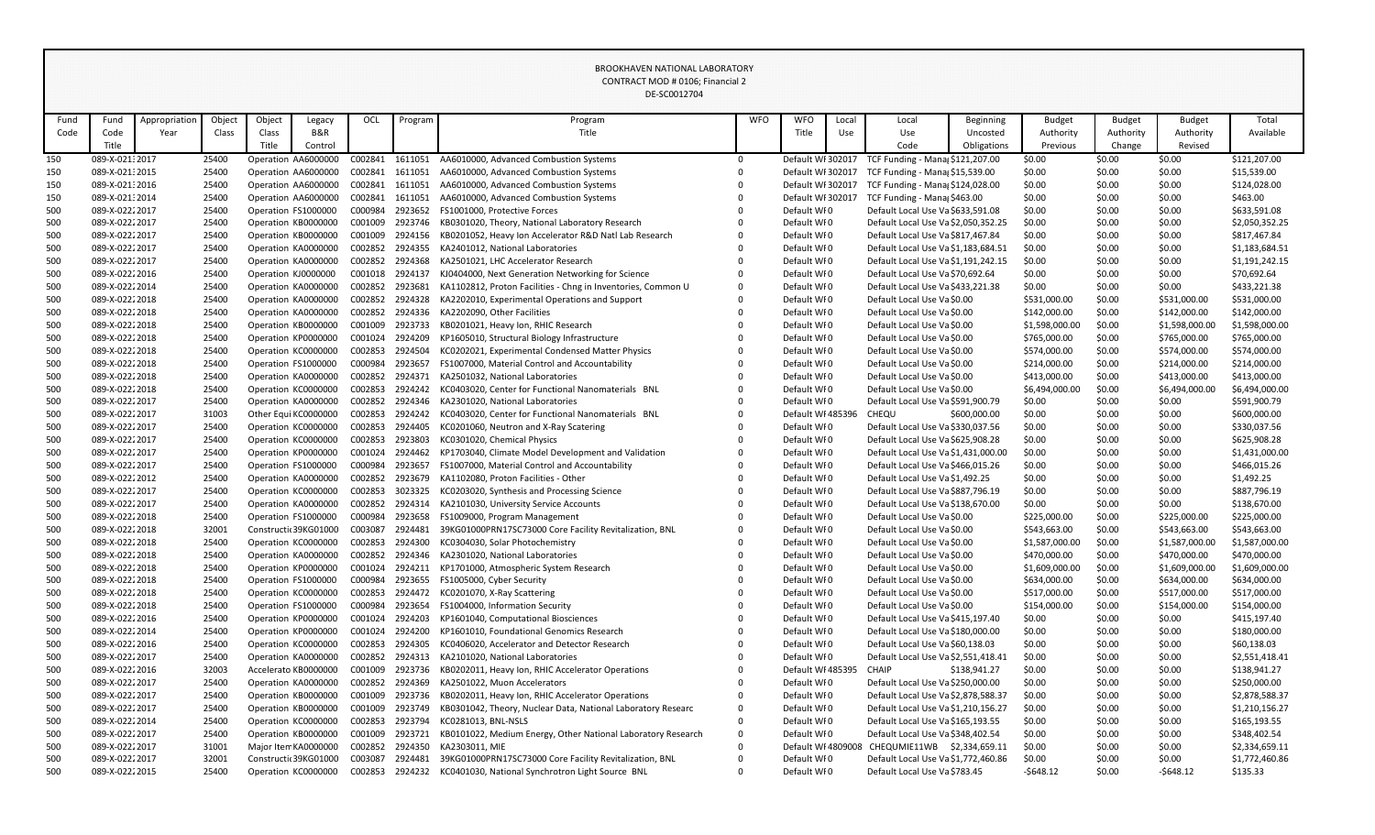|            |                                  |               |                |        |                                            |                    |                    | DE-SC0012704                                                               |             |                            |                   |                                                            |              |                                |                  |                                |                                |
|------------|----------------------------------|---------------|----------------|--------|--------------------------------------------|--------------------|--------------------|----------------------------------------------------------------------------|-------------|----------------------------|-------------------|------------------------------------------------------------|--------------|--------------------------------|------------------|--------------------------------|--------------------------------|
| Fund       | Fund                             | Appropriation | Object         | Object | Legacy                                     | OCL                | Program            | Program                                                                    | <b>WFO</b>  | <b>WFO</b>                 | Local             | Local                                                      | Beginning    | <b>Budget</b>                  | <b>Budget</b>    | <b>Budget</b>                  | Total                          |
| Code       | Code                             | Year          | Class          | Class  | <b>B&amp;R</b>                             |                    |                    | Title                                                                      |             | Title                      | Use               | Use                                                        | Uncosted     | Authority                      | Authority        | Authority                      | Available                      |
|            | Title                            |               |                | Title  | Control                                    |                    |                    |                                                                            |             |                            |                   | Code                                                       | Obligations  | Previous                       | Change           | Revised                        |                                |
| 150        | 089-X-021: 2017                  |               | 25400          |        | Operation AA6000000                        | C002841            | 1611051            | AA6010000, Advanced Combustion Systems                                     | $\Omega$    |                            | Default WI 302017 | TCF Funding - Mana \$121,207.00                            |              | \$0.00                         | \$0.00           | \$0.00                         | \$121,207.00                   |
| 150        | 089-X-02132015                   |               | 25400          |        | Operation AA6000000                        | C002841            | 1611051            | AA6010000, Advanced Combustion Systems                                     |             |                            | Default WI 302017 | TCF Funding - Mana \$15,539.00                             |              | \$0.00                         | \$0.00           | \$0.00                         | \$15,539.00                    |
| 150        | 089-X-021:2016                   |               | 25400          |        | Operation AA6000000                        | C002841            | 1611051            | AA6010000, Advanced Combustion Systems                                     |             |                            | Default WI 302017 | TCF Funding - Mana; \$124,028.00                           |              | \$0.00                         | \$0.00           | \$0.00                         | \$124,028.00                   |
| 150        | 089-X-021:2014                   |               | 25400          |        | Operation AA6000000                        | C002841            | 1611051            | AA6010000, Advanced Combustion Systems                                     |             |                            | Default WI 302017 | TCF Funding - Mana \$463.00                                |              | \$0.00                         | \$0.00           | \$0.00                         | \$463.00                       |
| 500        | 089-X-02222017                   |               | 25400          |        | Operation FS1000000                        | C000984            | 2923652            | FS1001000, Protective Forces                                               |             | Default WF0                |                   | Default Local Use Va \$633,591.08                          |              | \$0.00                         | \$0.00           | \$0.00                         | \$633,591.08                   |
| 500        | 089-X-02222017                   |               | 25400          |        | Operation KB0000000                        | C001009            | 2923746            | KB0301020, Theory, National Laboratory Research                            |             | Default WFO                |                   | Default Local Use Va \$2,050,352.25                        |              | \$0.00                         | \$0.00           | \$0.00                         | \$2,050,352.25                 |
| 500        | 089-X-02222017                   |               | 25400          |        | Operation KB0000000                        | C001009            | 2924156            | KB0201052, Heavy Ion Accelerator R&D Natl Lab Research                     |             | Default WF0                |                   | Default Local Use Va \$817,467.84                          |              | \$0.00                         | \$0.00           | \$0.00                         | \$817,467.84                   |
| 500        | 089-X-02222017                   |               | 25400          |        | Operation KA0000000                        | C002852            | 2924355            | KA2401012, National Laboratories                                           |             | Default WF0                |                   | Default Local Use Va \$1,183,684.51                        |              | \$0.00                         | \$0.00           | \$0.00                         | \$1,183,684.51                 |
| 500        | 089-X-02222017                   |               | 25400          |        | Operation KA0000000                        | C002852            | 2924368            | KA2501021, LHC Accelerator Research                                        |             | Default WF0                |                   | Default Local Use Va \$1,191,242.15                        |              | \$0.00                         | \$0.00           | \$0.00                         | \$1,191,242.15                 |
| 500        | 089-X-02222016                   |               | 25400          |        | Operation KJ0000000                        | C001018            | 2924137            | KJ0404000, Next Generation Networking for Science                          |             | Default WF0                |                   | Default Local Use Va \$70,692.64                           |              | \$0.00                         | \$0.00           | \$0.00                         | \$70,692.64                    |
| 500        | 089-X-02222014                   |               | 25400          |        | Operation KA0000000                        | C002852            | 2923681            | KA1102812, Proton Facilities - Chng in Inventories, Common U               |             | Default WFO                |                   | Default Local Use Va \$433,221.38                          |              | \$0.00                         | \$0.00           | \$0.00                         | \$433,221.38                   |
| 500        | 089-X-02222018                   |               | 25400          |        | Operation KA0000000                        | C002852            | 2924328            | KA2202010, Experimental Operations and Support                             |             | Default WF0                |                   | Default Local Use Va \$0.00                                |              | \$531,000.00                   | \$0.00           | \$531,000.00                   | \$531,000.00                   |
| 500        | 089-X-02222018                   |               | 25400          |        | Operation KA0000000                        | C002852            | 2924336            | KA2202090, Other Facilities                                                |             | Default WF0                |                   | Default Local Use Va \$0.00                                |              | \$142,000.00                   | \$0.00           | \$142,000.00                   | \$142,000.00                   |
| 500        | 089-X-02222018                   |               | 25400          |        | Operation KB0000000                        | C001009            | 2923733            | KB0201021, Heavy Ion, RHIC Research                                        |             | Default WF0                |                   | Default Local Use Va \$0.00                                |              | \$1,598,000.00                 | \$0.00           | \$1,598,000.00                 | \$1,598,000.00                 |
| 500        | 089-X-02222018                   |               | 25400          |        | Operation KP0000000                        | C001024            | 2924209            | KP1605010, Structural Biology Infrastructure                               |             | Default WF0                |                   | Default Local Use Va \$0.00                                |              | \$765,000.00                   | \$0.00           | \$765,000.00                   | \$765,000.00                   |
| 500        | 089-X-02222018                   |               | 25400          |        | Operation KC0000000                        | C002853            | 2924504            | KC0202021, Experimental Condensed Matter Physics                           |             | Default WF0                |                   | Default Local Use Va \$0.00                                |              | \$574,000.00                   | \$0.00           | \$574,000.00                   | \$574,000.00                   |
| 500        | 089-X-02222018                   |               | 25400          |        | Operation FS1000000                        | C000984            | 2923657            | FS1007000, Material Control and Accountability                             |             | Default WF0                |                   | Default Local Use Va \$0.00                                |              | \$214,000.00                   | \$0.00           | \$214,000.00                   | \$214,000.00                   |
| 500        | 089-X-02222018                   |               | 25400          |        | Operation KA0000000                        | C002852            | 2924371            | KA2501032, National Laboratories                                           |             | Default WF0                |                   | Default Local Use Va \$0.00                                |              | \$413,000.00                   | \$0.00           | \$413,000.00                   | \$413,000.00                   |
| 500        | 089-X-02222018                   |               | 25400          |        | Operation KC0000000                        | C002853            | 2924242            | KC0403020, Center for Functional Nanomaterials BNL                         |             | Default WF0                |                   | Default Local Use Va \$0.00                                |              | \$6,494,000.00                 | \$0.00           | \$6,494,000.00                 | \$6,494,000.00                 |
| 500        | 089-X-02222017                   |               | 25400          |        | Operation KA0000000                        | C002852            | 2924346            | KA2301020, National Laboratories                                           |             | Default WF0                |                   | Default Local Use Va \$591,900.79                          |              | \$0.00                         | \$0.00           | \$0.00                         | \$591,900.79                   |
| 500        | 089-X-02222017                   |               | 31003          |        | Other Equi KC0000000                       | C002853            | 2924242            | KC0403020, Center for Functional Nanomaterials BNL                         |             |                            | Default WI 485396 | CHEQU                                                      | \$600,000.00 | \$0.00                         | \$0.00           | \$0.00                         | \$600,000.00                   |
| 500        | 089-X-02222017                   |               | 25400          |        | Operation KC0000000                        | C002853            | 2924405            | KC0201060, Neutron and X-Ray Scatering                                     |             | Default WF0                |                   | Default Local Use Va \$330,037.56                          |              | \$0.00                         | \$0.00           | \$0.00                         | \$330,037.56                   |
| 500        | 089-X-02222017                   |               | 25400          |        | Operation KC0000000                        | C002853            | 2923803            | KC0301020, Chemical Physics                                                |             | Default WF0                |                   | Default Local Use Va \$625,908.28                          |              | \$0.00                         | \$0.00           | \$0.00                         | \$625,908.28                   |
| 500        | 089-X-02222017                   |               | 25400          |        | Operation KP0000000                        | C001024            | 2924462            | KP1703040, Climate Model Development and Validation                        |             | Default WF0                |                   | Default Local Use Va \$1,431,000.00                        |              | \$0.00                         | \$0.00           | \$0.00                         | \$1,431,000.00                 |
| 500        | 089-X-02222017                   |               | 25400          |        | Operation FS1000000                        | C000984            | 2923657            | FS1007000, Material Control and Accountability                             |             | Default WF0                |                   | Default Local Use Va \$466,015.26                          |              | \$0.00                         | \$0.00           | \$0.00                         | \$466,015.26                   |
| 500        | 089-X-02222012                   |               | 25400          |        | Operation KA0000000                        | C002852            | 2923679            | KA1102080, Proton Facilities - Other                                       |             | Default WF0                |                   | Default Local Use Va \$1,492.25                            |              | \$0.00                         | \$0.00           | \$0.00                         | \$1,492.25                     |
| 500        | 089-X-0222 2017                  |               | 25400          |        | Operation KC0000000                        | C002853            | 3023325            | KC0203020, Synthesis and Processing Science                                |             | Default WI0                |                   | Default Local Use Va \$887,796.19                          |              | \$0.00                         | \$0.00           | \$0.00                         | \$887,796.19                   |
| 500        | 089-X-02222017                   |               | 25400          |        | Operation KA0000000                        | C002852            | 2924314            | KA2101030, University Service Accounts                                     |             | Default WF0                |                   | Default Local Use Va \$138,670.00                          |              | \$0.00                         | \$0.00           | \$0.00                         | \$138,670.00                   |
| 500        | 089-X-02222018                   |               | 25400          |        | Operation FS1000000                        | C000984            | 2923658            | FS1009000, Program Management                                              |             | Default WFO                |                   | Default Local Use Va \$0.00                                |              | \$225,000.00                   | \$0.00           | \$225,000.00                   | \$225,000.00                   |
| 500        | 089-X-02222018                   |               | 32001          |        | Constructi 39KG01000                       | C003087            | 2924481            | 39KG01000PRN17SC73000 Core Facility Revitalization, BNL                    | $\Omega$    | Default WF0                |                   | Default Local Use Va \$0.00                                |              | \$543,663.00                   | \$0.00           | \$543,663.00                   | \$543,663.00                   |
| 500        | 089-X-02222018<br>089-X-02222018 |               | 25400          |        | Operation KC0000000                        | C002853            | 2924300<br>2924346 | KC0304030, Solar Photochemistry                                            |             | Default WF0<br>Default WFO |                   | Default Local Use Va \$0.00                                |              | \$1,587,000.00                 | \$0.00           | \$1,587,000.00                 | \$1,587,000.00                 |
| 500        | 089-X-02222018                   |               | 25400<br>25400 |        | Operation KA0000000<br>Operation KP0000000 | C002852<br>C001024 | 2924211            | KA2301020, National Laboratories<br>KP1701000, Atmospheric System Research |             | Default WF0                |                   | Default Local Use Va \$0.00<br>Default Local Use Va \$0.00 |              | \$470,000.00<br>\$1,609,000.00 | \$0.00<br>\$0.00 | \$470,000.00<br>\$1,609,000.00 | \$470,000.00<br>\$1,609,000.00 |
| 500<br>500 | 089-X-02222018                   |               | 25400          |        | Operation FS1000000                        | C000984            | 2923655            | FS1005000, Cyber Security                                                  |             | Default WI0                |                   | Default Local Use Va \$0.00                                |              | \$634,000.00                   | \$0.00           | \$634,000.00                   | \$634,000.00                   |
| 500        | 089-X-02222018                   |               | 25400          |        | Operation KC0000000                        | C002853            | 2924472            | KC0201070, X-Ray Scattering                                                |             | Default WF0                |                   | Default Local Use Va \$0.00                                |              | \$517,000.00                   | \$0.00           | \$517,000.00                   | \$517,000.00                   |
| 500        | 089-X-02222018                   |               | 25400          |        | Operation FS1000000                        | C000984            | 2923654            | FS1004000, Information Security                                            |             | Default WF0                |                   | Default Local Use Va \$0.00                                |              | \$154,000.00                   | \$0.00           | \$154,000.00                   | \$154,000.00                   |
| 500        | 089-X-02222016                   |               | 25400          |        | Operation KP0000000                        | C001024            | 2924203            | KP1601040, Computational Biosciences                                       |             | Default WFO                |                   | Default Local Use Va \$415,197.40                          |              | \$0.00                         | \$0.00           | \$0.00                         | \$415,197.40                   |
| 500        | 089-X-02222014                   |               | 25400          |        | Operation KP0000000                        | C001024            | 2924200            | KP1601010, Foundational Genomics Research                                  |             | Default WF0                |                   | Default Local Use Va \$180,000.00                          |              | \$0.00                         | \$0.00           | \$0.00                         | \$180,000.00                   |
| 500        | 089-X-02222016                   |               | 25400          |        | Operation KC0000000                        | C002853            | 2924305            | KC0406020, Accelerator and Detector Research                               |             | Default WF0                |                   | Default Local Use Va \$60,138.03                           |              | \$0.00                         | \$0.00           | \$0.00                         | \$60,138.03                    |
| 500        | 089-X-02222017                   |               | 25400          |        | Operation KA0000000                        | C002852            | 2924313            | KA2101020, National Laboratories                                           |             | Default WF0                |                   | Default Local Use Va \$2,551,418.41                        |              | \$0.00                         | \$0.00           | \$0.00                         | \$2,551,418.41                 |
| 500        | 089-X-02222016                   |               | 32003          |        | Accelerato KB0000000                       | C001009            | 2923736            | KB0202011, Heavy Ion, RHIC Accelerator Operations                          |             |                            | Default WI 485395 | <b>CHAIP</b>                                               | \$138,941.27 | \$0.00                         | \$0.00           | \$0.00                         | \$138,941.27                   |
| 500        | 089-X-02222017                   |               | 25400          |        | Operation KA0000000                        | C002852            | 2924369            | KA2501022, Muon Accelerators                                               |             | Default WFO                |                   | Default Local Use Va \$250,000.00                          |              | \$0.00                         | \$0.00           | \$0.00                         | \$250,000.00                   |
| 500        | 089-X-02222017                   |               | 25400          |        | Operation KB0000000                        | C001009            | 2923736            | KB0202011, Heavy Ion, RHIC Accelerator Operations                          |             | Default WF0                |                   | Default Local Use Va \$2,878,588.37                        |              | \$0.00                         | \$0.00           | \$0.00                         | \$2,878,588.37                 |
| 500        | 089-X-02222017                   |               | 25400          |        | Operation KB0000000                        | C001009            | 2923749            | KB0301042, Theory, Nuclear Data, National Laboratory Researc               | $\Omega$    | Default WF0                |                   | Default Local Use Va \$1,210,156.27                        |              | \$0.00                         | \$0.00           | \$0.00                         | \$1,210,156.27                 |
| 500        | 089-X-02222014                   |               | 25400          |        | Operation KC0000000                        | C002853            | 2923794            | KC0281013, BNL-NSLS                                                        | $\Omega$    | Default WF0                |                   | Default Local Use Va \$165,193.55                          |              | \$0.00                         | \$0.00           | \$0.00                         | \$165,193.55                   |
| 500        | 089-X-02222017                   |               | 25400          |        | Operation KB0000000                        | C001009            | 2923721            | KB0101022, Medium Energy, Other National Laboratory Research               | $\mathbf 0$ | Default WF0                |                   | Default Local Use Va \$348,402.54                          |              | \$0.00                         | \$0.00           | \$0.00                         | \$348,402.54                   |
| 500        | 089-X-02222017                   |               | 31001          |        | Major Item KA0000000                       | C002852            | 2924350            | KA2303011, MIE                                                             |             |                            | Default WF4809008 | CHEQUMIE11WB \$2,334,659.11                                |              | \$0.00                         | \$0.00           | \$0.00                         | \$2,334,659.11                 |
| 500        | 089-X-02222017                   |               | 32001          |        | Constructi 39KG01000                       | C003087            | 2924481            | 39KG01000PRN17SC73000 Core Facility Revitalization, BNL                    |             | Default WF0                |                   | Default Local Use Va \$1,772,460.86                        |              | \$0.00                         | \$0.00           | \$0.00                         | \$1,772,460.86                 |
| 500        | 089-X-02222015                   |               | 25400          |        | Operation KC0000000                        | C002853            | 2924232            | KC0401030, National Synchrotron Light Source BNL                           | $\Omega$    | Default WFO                |                   | Default Local Use Va \$783.45                              |              | $-5648.12$                     | \$0.00           | $-5648.12$                     | \$135.33                       |
|            |                                  |               |                |        |                                            |                    |                    |                                                                            |             |                            |                   |                                                            |              |                                |                  |                                |                                |

## BROOKHAVEN NATIONAL LABORATORY CONTRACT MOD # 0106; Financial 2  $DEC0001270$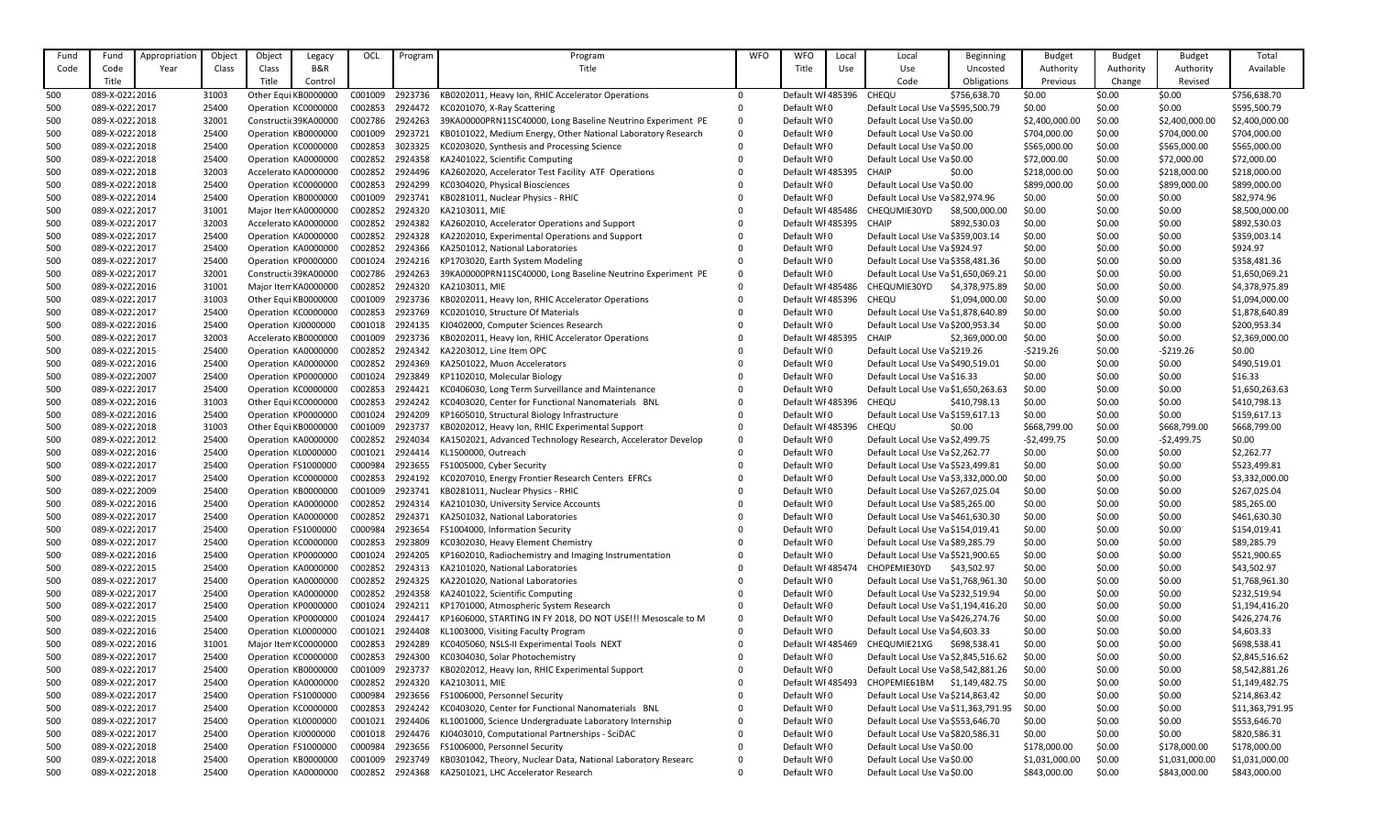| Fund | Fund            | Appropriation | Object | Object | Legacy               | OCL     | Program | Program                                                      | <b>WFO</b>  | <b>WFO</b>        | Local | Local                                | Beginning      | <b>Budget</b>  | <b>Budget</b> | <b>Budget</b>  | Total           |
|------|-----------------|---------------|--------|--------|----------------------|---------|---------|--------------------------------------------------------------|-------------|-------------------|-------|--------------------------------------|----------------|----------------|---------------|----------------|-----------------|
| Code | Code            | Year          | Class  | Class  | B&R                  |         |         | Title                                                        |             | Title             | Use   | Use                                  | Uncosted       | Authority      | Authority     | Authority      | Available       |
|      | Title           |               |        | Title  | Control              |         |         |                                                              |             |                   |       | Code                                 | Obligations    | Previous       | Change        | Revised        |                 |
| 500  | 089-X-0222 2016 |               | 31003  |        | Other Equi KB0000000 | C001009 | 2923736 | KB0202011, Heavy Ion, RHIC Accelerator Operations            | $\Omega$    | Default WF485396  |       | CHEQU                                | \$756,638.70   | \$0.00         | \$0.00        | \$0.00         | \$756,638.70    |
| 500  | 089-X-02222017  |               | 25400  |        | Operation KC0000000  | C002853 | 2924472 | KC0201070, X-Ray Scattering                                  | $\Omega$    | Default WFO       |       | Default Local Use Va \$595,500.79    |                | \$0.00         | \$0.00        | \$0.00         | \$595,500.79    |
| 500  | 089-X-02222018  |               | 32001  |        | Constructi 39KA00000 | C002786 | 2924263 | 39KA00000PRN11SC40000, Long Baseline Neutrino Experiment PE  | $\Omega$    | Default WFO       |       | Default Local Use Va \$0.00          |                | \$2,400,000.00 | \$0.00        | \$2,400,000.00 | \$2,400,000.00  |
| 500  | 089-X-02222018  |               | 25400  |        | Operation KB0000000  | C001009 | 2923721 | KB0101022, Medium Energy, Other National Laboratory Research | $\Omega$    | Default WFO       |       | Default Local Use Va \$0.00          |                | \$704,000.00   | \$0.00        | \$704,000.00   | \$704,000.00    |
| 500  | 089-X-02222018  |               | 25400  |        | Operation KC0000000  | C002853 | 3023325 | KC0203020, Synthesis and Processing Science                  |             | Default WI0       |       | Default Local Use Va \$0.00          |                | \$565,000.00   | \$0.00        | \$565,000.00   | \$565,000.00    |
| 500  | 089-X-02222018  |               | 25400  |        | Operation KA0000000  | C002852 | 2924358 | KA2401022, Scientific Computing                              |             | Default WF0       |       | Default Local Use Va \$0.00          |                | \$72,000.00    | \$0.00        | \$72,000.00    | \$72,000.00     |
|      | 089-X-02222018  |               |        |        |                      |         |         | KA2602020, Accelerator Test Facility ATF Operations          |             |                   |       | <b>CHAIP</b>                         |                |                |               |                |                 |
| 500  |                 |               | 32003  |        | Accelerato KA0000000 | C002852 | 2924496 |                                                              |             | Default WI 485395 |       |                                      | \$0.00         | \$218,000.00   | \$0.00        | \$218,000.00   | \$218,000.00    |
| 500  | 089-X-02222018  |               | 25400  |        | Operation KC0000000  | C002853 | 2924299 | KC0304020, Physical Biosciences                              |             | Default WFO       |       | Default Local Use Va \$0.00          |                | \$899,000.00   | \$0.00        | \$899,000.00   | \$899,000.00    |
| 500  | 089-X-02222014  |               | 25400  |        | Operation KB0000000  | C001009 | 2923741 | KB0281011, Nuclear Physics - RHIC                            |             | Default WFO       |       | Default Local Use Va \$82,974.96     |                | \$0.00         | \$0.00        | \$0.00         | \$82,974.96     |
| 500  | 089-X-02222017  |               | 31001  |        | Major Item KA0000000 | C002852 | 2924320 | KA2103011, MIE                                               |             | Default WF485486  |       | CHEQUMIE30YD                         | \$8,500,000.00 | \$0.00         | \$0.00        | \$0.00         | \$8,500,000.00  |
| 500  | 089-X-02222017  |               | 32003  |        | Accelerato KA0000000 | C002852 | 2924382 | KA2602010, Accelerator Operations and Support                |             | Default WF485395  |       | <b>CHAIP</b>                         | \$892,530.03   | \$0.00         | \$0.00        | \$0.00         | \$892,530.03    |
| 500  | 089-X-02222017  |               | 25400  |        | Operation KA0000000  | C002852 | 2924328 | KA2202010, Experimental Operations and Support               |             | Default WF0       |       | Default Local Use Va \$359,003.14    |                | \$0.00         | \$0.00        | \$0.00         | \$359,003.14    |
| 500  | 089-X-02222017  |               | 25400  |        | Operation KA0000000  | C002852 | 2924366 | KA2501012, National Laboratories                             |             | Default WFO       |       | Default Local Use Va \$924.97        |                | \$0.00         | \$0.00        | \$0.00         | \$924.97        |
| 500  | 089-X-02222017  |               | 25400  |        | Operation KP0000000  | C001024 | 2924216 | KP1703020, Earth System Modeling                             |             | Default WFO       |       | Default Local Use Va \$358,481.36    |                | \$0.00         | \$0.00        | \$0.00         | \$358,481.36    |
| 500  | 089-X-02222017  |               | 32001  |        | Constructi 39KA00000 | C002786 | 2924263 | 39KA00000PRN11SC40000, Long Baseline Neutrino Experiment PE  | $\Omega$    | Default WF0       |       | Default Local Use Va \$1,650,069.21  |                | \$0.00         | \$0.00        | \$0.00         | \$1,650,069.21  |
| 500  | 089-X-02222016  |               | 31001  |        | Major Item KA0000000 | C002852 | 2924320 | KA2103011, MIE                                               |             | Default WI 485486 |       | CHEQUMIE30YD                         | \$4,378,975.89 | \$0.00         | \$0.00        | \$0.00         | \$4,378,975.89  |
| 500  | 089-X-02222017  |               | 31003  |        | Other Equi KB0000000 | C001009 | 2923736 | KB0202011, Heavy Ion, RHIC Accelerator Operations            |             | Default WF485396  |       | CHEQU                                | \$1,094,000.00 | \$0.00         | \$0.00        | \$0.00         | \$1,094,000.00  |
| 500  | 089-X-02222017  |               | 25400  |        | Operation KC0000000  | C002853 | 2923769 | KC0201010, Structure Of Materials                            |             | Default WFO       |       | Default Local Use Va \$1,878,640.89  |                | \$0.00         | \$0.00        | \$0.00         | \$1,878,640.89  |
| 500  | 089-X-02222016  |               | 25400  |        | Operation KJ0000000  | C001018 | 2924135 | KJ0402000, Computer Sciences Research                        |             | Default WFO       |       | Default Local Use Va \$200,953.34    |                | \$0.00         | \$0.00        | \$0.00         | \$200,953.34    |
| 500  | 089-X-02222017  |               | 32003  |        | Accelerato KB0000000 | C001009 | 2923736 | KB0202011, Heavy Ion, RHIC Accelerator Operations            |             | Default WI 485395 |       | <b>CHAIP</b>                         | \$2,369,000.00 | \$0.00         | \$0.00        | \$0.00         | \$2,369,000.00  |
| 500  | 089-X-02222015  |               | 25400  |        | Operation KA0000000  | C002852 | 2924342 | KA2203012, Line Item OPC                                     |             | Default WF0       |       | Default Local Use Va \$219.26        |                | -\$219.26      | \$0.00        | $-5219.26$     | \$0.00          |
| 500  | 089-X-02222016  |               | 25400  |        | Operation KA0000000  | C002852 | 2924369 | KA2501022, Muon Accelerators                                 |             | Default WFO       |       | Default Local Use Va \$490,519.01    |                | \$0.00         | \$0.00        | \$0.00         | \$490,519.01    |
| 500  | 089-X-02222007  |               | 25400  |        | Operation KP0000000  | C001024 | 2923849 | KP1102010, Molecular Biology                                 |             | Default WFO       |       | Default Local Use Va \$16.33         |                | \$0.00         | \$0.00        | \$0.00         | \$16.33         |
| 500  | 089-X-02222017  |               | 25400  |        | Operation KC0000000  | C002853 | 2924421 | KC0406030, Long Term Surveillance and Maintenance            |             | Default WF0       |       | Default Local Use Va \$1,650,263.63  |                | \$0.00         | \$0.00        | \$0.00         | \$1,650,263.63  |
| 500  | 089-X-02222016  |               | 31003  |        | Other Equi KC0000000 | C002853 | 2924242 | KC0403020, Center for Functional Nanomaterials BNL           |             | Default WF485396  |       | CHEQU                                | \$410,798.13   | \$0.00         | \$0.00        | \$0.00         | \$410,798.13    |
| 500  | 089-X-02222016  |               | 25400  |        | Operation KP0000000  | C001024 | 2924209 | KP1605010, Structural Biology Infrastructure                 |             | Default WF0       |       | Default Local Use Va \$159,617.13    |                | \$0.00         | \$0.00        | \$0.00         | \$159,617.13    |
| 500  | 089-X-02222018  |               | 31003  |        | Other Equi KB0000000 | C001009 | 2923737 | KB0202012, Heavy Ion, RHIC Experimental Support              |             | Default WF485396  |       | <b>CHEQU</b>                         | \$0.00         | \$668,799.00   | \$0.00        | \$668,799.00   | \$668,799.00    |
| 500  | 089-X-02222012  |               | 25400  |        | Operation KA0000000  | C002852 | 2924034 | KA1502021, Advanced Technology Research, Accelerator Develop |             | Default WFO       |       | Default Local Use Va \$2,499.75      |                | -\$2,499.75    | \$0.00        | -\$2,499.75    | \$0.00          |
| 500  | 089-X-0222 2016 |               | 25400  |        | Operation KL0000000  | C001021 | 2924414 | KL1500000, Outreach                                          | $\Omega$    | Default WF0       |       | Default Local Use Va \$2,262.77      |                | \$0.00         | \$0.00        | \$0.00         | \$2,262.77      |
| 500  | 089-X-02222017  |               | 25400  |        | Operation FS1000000  | C000984 | 2923655 | FS1005000, Cyber Security                                    |             | Default WI0       |       | Default Local Use Va \$523,499.81    |                | \$0.00         | \$0.00        | \$0.00         | \$523,499.81    |
| 500  | 089-X-02222017  |               | 25400  |        | Operation KC0000000  | C002853 | 2924192 | KC0207010, Energy Frontier Research Centers EFRCs            |             | Default WI0       |       | Default Local Use Va \$3,332,000.00  |                | \$0.00         | \$0.00        | \$0.00         | \$3,332,000.00  |
| 500  | 089-X-0222 2009 |               | 25400  |        | Operation KB0000000  | C001009 | 2923741 | KB0281011, Nuclear Physics - RHIC                            |             | Default WF0       |       | Default Local Use Va \$267,025.04    |                | \$0.00         | \$0.00        | \$0.00         | \$267,025.04    |
| 500  | 089-X-02222016  |               | 25400  |        | Operation KA0000000  | C002852 | 2924314 | KA2101030, University Service Accounts                       |             | Default WFO       |       | Default Local Use Va \$85,265.00     |                | \$0.00         | \$0.00        | \$0.00         | \$85,265.00     |
| 500  | 089-X-02222017  |               | 25400  |        | Operation KA0000000  | C002852 | 2924371 | KA2501032, National Laboratories                             |             | Default WF0       |       | Default Local Use Va \$461,630.30    |                | \$0.00         | \$0.00        | \$0.00         | \$461,630.30    |
| 500  | 089-X-02222017  |               | 25400  |        | Operation FS1000000  | C000984 | 2923654 | FS1004000, Information Security                              |             | Default WI0       |       | Default Local Use Va \$154,019.41    |                | \$0.00         | \$0.00        | \$0.00         | \$154,019.41    |
| 500  | 089-X-02222017  |               | 25400  |        | Operation KC0000000  | C002853 | 2923809 | KC0302030, Heavy Element Chemistry                           |             | Default WFO       |       | Default Local Use Va \$89,285.79     |                | \$0.00         | \$0.00        | \$0.00         | \$89,285.79     |
| 500  | 089-X-02222016  |               | 25400  |        | Operation KP0000000  | C001024 | 2924205 | KP1602010, Radiochemistry and Imaging Instrumentation        |             | Default WF0       |       | Default Local Use Va \$521,900.65    |                | \$0.00         | \$0.00        | \$0.00         | \$521,900.65    |
| 500  | 089-X-02222015  |               | 25400  |        | Operation KA0000000  | C002852 | 2924313 | KA2101020, National Laboratories                             |             | Default WI 485474 |       | CHOPEMIE30YD                         | \$43,502.97    | \$0.00         | \$0.00        | \$0.00         | \$43,502.97     |
| 500  | 089-X-02222017  |               | 25400  |        | Operation KA0000000  | C002852 | 2924325 | KA2201020, National Laboratories                             |             | Default WF0       |       | Default Local Use Va \$1,768,961.30  |                | \$0.00         | \$0.00        | \$0.00         | \$1,768,961.30  |
| 500  | 089-X-02222017  |               | 25400  |        | Operation KA0000000  | C002852 | 2924358 | KA2401022, Scientific Computing                              |             | Default WI0       |       | Default Local Use Va \$232,519.94    |                | \$0.00         | \$0.00        | \$0.00         | \$232,519.94    |
| 500  | 089-X-02222017  |               | 25400  |        | Operation KP0000000  | C001024 | 2924211 | KP1701000, Atmospheric System Research                       |             | Default WI0       |       | Default Local Use Va \$1,194,416.20  |                | \$0.00         | \$0.00        | \$0.00         | \$1,194,416.20  |
| 500  | 089-X-02222015  |               | 25400  |        | Operation KP0000000  | C001024 | 2924417 | KP1606000, STARTING IN FY 2018, DO NOT USE!!! Mesoscale to M | $\mathbf 0$ | Default WI0       |       | Default Local Use Va \$426,274.76    |                | \$0.00         | \$0.00        | \$0.00         | \$426,274.76    |
| 500  | 089-X-02222016  |               | 25400  |        | Operation KL0000000  | C001021 | 2924408 | KL1003000, Visiting Faculty Program                          |             | Default WFO       |       | Default Local Use Va \$4,603.33      |                | \$0.00         | \$0.00        | \$0.00         | \$4,603.33      |
| 500  | 089-X-02222016  |               | 31001  |        | Major Item KC0000000 | C002853 | 2924289 | KC0405060, NSLS-II Experimental Tools NEXT                   |             | Default WI 485469 |       | CHEQUMIE21XG                         | \$698,538.41   | \$0.00         | \$0.00        | \$0.00         | \$698,538.41    |
| 500  | 089-X-02222017  |               | 25400  |        | Operation KC0000000  | C002853 | 2924300 | KC0304030, Solar Photochemistry                              |             | Default WI0       |       | Default Local Use Va \$2,845,516.62  |                | \$0.00         | \$0.00        | \$0.00         | \$2,845,516.62  |
| 500  | 089-X-02222017  |               | 25400  |        | Operation KB0000000  | C001009 | 2923737 | KB0202012, Heavy Ion, RHIC Experimental Support              |             | Default WF0       |       | Default Local Use Va \$8,542,881.26  |                | \$0.00         | \$0.00        | \$0.00         | \$8,542,881.26  |
| 500  | 089-X-02222017  |               | 25400  |        | Operation KA0000000  | C002852 | 2924320 | KA2103011, MIE                                               |             | Default WI 485493 |       | CHOPEMIE61BM \$1,149,482.75          |                | \$0.00         | \$0.00        | \$0.00         | \$1,149,482.75  |
| 500  | 089-X-02222017  |               | 25400  |        | Operation FS1000000  | C000984 | 2923656 | FS1006000, Personnel Security                                |             | Default WFO       |       | Default Local Use Va \$214,863.42    |                | \$0.00         | \$0.00        | \$0.00         | \$214,863.42    |
| 500  | 089-X-02222017  |               | 25400  |        | Operation KC0000000  | C002853 | 2924242 | KC0403020, Center for Functional Nanomaterials BNL           |             | Default WF0       |       | Default Local Use Va \$11,363,791.95 |                | \$0.00         | \$0.00        | \$0.00         | \$11,363,791.95 |
| 500  | 089-X-02222017  |               | 25400  |        | Operation KL0000000  | C001021 | 2924406 | KL1001000, Science Undergraduate Laboratory Internship       |             | Default WFO       |       | Default Local Use Va \$553,646.70    |                | \$0.00         | \$0.00        | \$0.00         | \$553,646.70    |
| 500  | 089-X-02222017  |               | 25400  |        | Operation KJ0000000  | C001018 | 2924476 | KJ0403010, Computational Partnerships - SciDAC               |             | Default WI0       |       | Default Local Use Va \$820,586.31    |                | \$0.00         | \$0.00        | \$0.00         | \$820,586.31    |
| 500  | 089-X-02222018  |               | 25400  |        | Operation FS1000000  | C000984 | 2923656 | FS1006000, Personnel Security                                |             | Default WF0       |       | Default Local Use Va \$0.00          |                | \$178,000.00   | \$0.00        | \$178,000.00   | \$178,000.00    |
| 500  | 089-X-02222018  |               | 25400  |        | Operation KB0000000  | C001009 | 2923749 | KB0301042, Theory, Nuclear Data, National Laboratory Researc | 0           | Default WFO       |       | Default Local Use Va \$0.00          |                | \$1,031,000.00 | \$0.00        | \$1,031,000.00 | \$1,031,000.00  |
| 500  | 089-X-02222018  |               | 25400  |        | Operation KA0000000  | C002852 | 2924368 | KA2501021, LHC Accelerator Research                          | $\Omega$    | Default WFO       |       | Default Local Use Va \$0.00          |                | \$843,000.00   | \$0.00        | \$843,000.00   | \$843,000.00    |
|      |                 |               |        |        |                      |         |         |                                                              |             |                   |       |                                      |                |                |               |                |                 |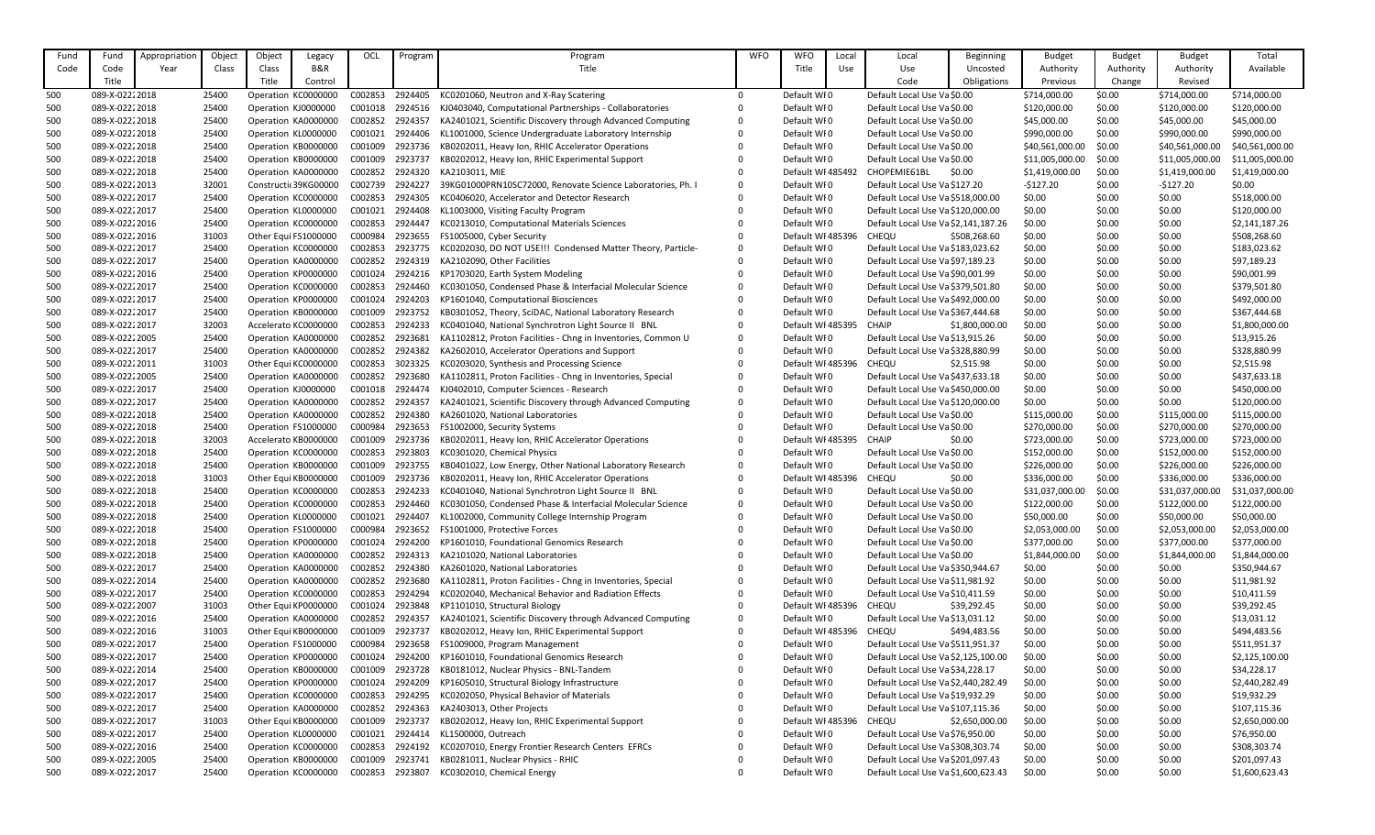| Fund | Fund                             | Appropriation | Object | Object | Legacy               | OCL                | Program            | Program                                                      | <b>WFO</b>           | <b>WFO</b>        | Local | Local                                             | <b>Beginning</b> | <b>Budget</b>   | <b>Budget</b> | <b>Budget</b>   | Total           |
|------|----------------------------------|---------------|--------|--------|----------------------|--------------------|--------------------|--------------------------------------------------------------|----------------------|-------------------|-------|---------------------------------------------------|------------------|-----------------|---------------|-----------------|-----------------|
| Code | Code                             | Year          | Class  | Class  | <b>B&amp;R</b>       |                    |                    | Title                                                        |                      | Title             | Use   | Use                                               | Uncosted         | Authority       | Authority     | Authority       | Available       |
|      | Title                            |               |        | Title  | Control              |                    |                    |                                                              |                      |                   |       | Code                                              | Obligations      | Previous        | Change        | Revised         |                 |
| 500  | 089-X-02222018                   |               | 25400  |        | Operation KC0000000  | C002853            | 2924405            | KC0201060, Neutron and X-Ray Scatering                       | $\Omega$             | Default WI0       |       | Default Local Use Va \$0.00                       |                  | \$714,000.00    | \$0.00        | \$714,000.00    | \$714,000.00    |
| 500  | 089-X-02222018                   |               | 25400  |        | Operation KJ0000000  | C001018            | 2924516            | KJ0403040, Computational Partnerships - Collaboratories      | 0                    | Default WI0       |       | Default Local Use Va \$0.00                       |                  | \$120,000.00    | \$0.00        | \$120,000.00    | \$120,000.00    |
| 500  | 089-X-02222018                   |               | 25400  |        | Operation KA0000000  | C002852            | 2924357            | KA2401021, Scientific Discovery through Advanced Computing   | 0                    | Default WFO       |       | Default Local Use Va \$0.00                       |                  | \$45,000.00     | \$0.00        | \$45,000.00     | \$45,000.00     |
| 500  | 089-X-02222018                   |               | 25400  |        | Operation KL0000000  | C001021            | 2924406            | KL1001000, Science Undergraduate Laboratory Internship       |                      | Default WFO       |       | Default Local Use Va \$0.00                       |                  | \$990,000.00    | \$0.00        | \$990,000.00    | \$990,000.00    |
| 500  | 089-X-02222018                   |               | 25400  |        | Operation KB0000000  | C001009            | 2923736            | KB0202011, Heavy Ion, RHIC Accelerator Operations            |                      | Default WFO       |       | Default Local Use Va \$0.00                       |                  | \$40,561,000.00 | \$0.00        | \$40,561,000.00 | \$40,561,000.00 |
| 500  | 089-X-02222018                   |               | 25400  |        | Operation KB0000000  | C001009            | 2923737            | KB0202012, Heavy Ion, RHIC Experimental Support              |                      | Default WFO       |       | Default Local Use Va \$0.00                       |                  | \$11,005,000.00 | \$0.00        | \$11,005,000.00 | \$11,005,000.00 |
| 500  | 089-X-02222018                   |               | 25400  |        | Operation KA0000000  | C002852            | 2924320            | KA2103011, MIE                                               |                      | Default WI 485492 |       | CHOPEMIE61BL                                      | \$0.00           | \$1,419,000.00  | \$0.00        | \$1,419,000.00  | \$1,419,000.00  |
| 500  | 089-X-02222013                   |               | 32001  |        | Constructi 39KG00000 | C002739            | 2924227            | 39KG01000PRN10SC72000, Renovate Science Laboratories, Ph. I  | $\Omega$             | Default WFO       |       | Default Local Use Va \$127.20                     |                  | $-5127.20$      | \$0.00        | $-$127.20$      | \$0.00          |
| 500  | 089-X-02222017                   |               | 25400  |        | Operation KC0000000  | C002853            | 2924305            | KC0406020, Accelerator and Detector Research                 |                      | Default WI0       |       | Default Local Use Va \$518,000.00                 |                  | \$0.00          | \$0.00        | \$0.00          | \$518,000.00    |
| 500  | 089-X-02222017                   |               | 25400  |        | Operation KL0000000  | C001021            | 2924408            | KL1003000, Visiting Faculty Program                          |                      | Default WI0       |       | Default Local Use Va \$120,000.00                 |                  | \$0.00          | \$0.00        | \$0.00          | \$120,000.00    |
| 500  | 089-X-02222016                   |               | 25400  |        | Operation KC0000000  | C002853            | 2924447            | KC0213010, Computational Materials Sciences                  |                      | Default WI0       |       | Default Local Use Va \$2,141,187.26               |                  | \$0.00          | \$0.00        | \$0.00          | \$2,141,187.26  |
| 500  | 089-X-02222016                   |               | 31003  |        | Other Equi FS1000000 | C000984            | 2923655            | FS1005000, Cyber Security                                    |                      | Default WI 485396 |       | CHEQU                                             | \$508,268.60     | \$0.00          | \$0.00        | \$0.00          | \$508,268.60    |
| 500  | 089-X-02222017                   |               | 25400  |        | Operation KC0000000  | C002853            | 2923775            | KC0202030, DO NOT USE!!! Condensed Matter Theory, Particle-  | 0                    | Default WFO       |       | Default Local Use Va \$183,023.62                 |                  | \$0.00          | \$0.00        | \$0.00          | \$183,023.62    |
| 500  | 089-X-02222017                   |               | 25400  |        | Operation KA0000000  | C002852            | 2924319            | KA2102090, Other Facilities                                  | $\Omega$             | Default WI0       |       | Default Local Use Va \$97,189.23                  |                  | \$0.00          | \$0.00        | \$0.00          | \$97,189.23     |
| 500  | 089-X-02222016                   |               | 25400  |        | Operation KP0000000  | C001024            | 2924216            | KP1703020, Earth System Modeling                             |                      | Default WI0       |       | Default Local Use Va \$90,001.99                  |                  | \$0.00          | \$0.00        | \$0.00          | \$90,001.99     |
| 500  | 089-X-02222017                   |               | 25400  |        | Operation KC0000000  | C002853            | 2924460            | KC0301050, Condensed Phase & Interfacial Molecular Science   | $\Omega$             | Default WI0       |       | Default Local Use Va \$379,501.80                 |                  | \$0.00          | \$0.00        | \$0.00          | \$379,501.80    |
|      | 089-X-02222017                   |               |        |        |                      | C001024            | 2924203            |                                                              |                      |                   |       |                                                   |                  |                 |               |                 |                 |
| 500  | 089-X-02222017                   |               | 25400  |        | Operation KP0000000  |                    |                    | KP1601040, Computational Biosciences                         |                      | Default WFO       |       | Default Local Use Va \$492,000.00                 |                  | \$0.00          | \$0.00        | \$0.00          | \$492,000.00    |
| 500  |                                  |               | 25400  |        | Operation KB0000000  | C001009<br>C002853 | 2923752            | KB0301052, Theory, SciDAC, National Laboratory Research      | $\Omega$             | Default WFO       |       | Default Local Use Va \$367,444.68<br><b>CHAIP</b> |                  | \$0.00          | \$0.00        | \$0.00          | \$367,444.68    |
| 500  | 089-X-02222017                   |               | 32003  |        | Accelerato KC0000000 |                    | 2924233            | KC0401040, National Synchrotron Light Source II BNL          |                      | Default WI 485395 |       |                                                   | \$1,800,000.00   | \$0.00          | \$0.00        | \$0.00          | \$1,800,000.00  |
| 500  | 089-X-02222005                   |               | 25400  |        | Operation KA0000000  | C002852            | 2923681            | KA1102812, Proton Facilities - Chng in Inventories, Common U | $\Omega$<br>$\Omega$ | Default WI0       |       | Default Local Use Va \$13,915.26                  |                  | \$0.00          | \$0.00        | \$0.00          | \$13,915.26     |
| 500  | 089-X-02222017                   |               | 25400  |        | Operation KA0000000  | C002852            | 2924382            | KA2602010, Accelerator Operations and Support                |                      | Default WI0       |       | Default Local Use Va \$328,880.99                 |                  | \$0.00          | \$0.00        | \$0.00          | \$328,880.99    |
| 500  | 089-X-02222011                   |               | 31003  |        | Other Equi KC0000000 | C002853            | 3023325            | KC0203020, Synthesis and Processing Science                  |                      | Default WI 485396 |       | CHEQU                                             | \$2,515.98       | \$0.00          | \$0.00        | \$0.00          | \$2,515.98      |
| 500  | 089-X-02222005                   |               | 25400  |        | Operation KA0000000  | C002852            | 2923680            | KA1102811, Proton Facilities - Chng in Inventories, Special  |                      | Default WFO       |       | Default Local Use Va \$437,633.18                 |                  | \$0.00          | \$0.00        | \$0.00          | \$437,633.18    |
| 500  | 089-X-02222017                   |               | 25400  |        | Operation KJ0000000  | C001018            | 2924474            | KJ0402010, Computer Sciences - Research                      | $\Omega$             | Default WFO       |       | Default Local Use Va \$450,000.00                 |                  | \$0.00          | \$0.00        | \$0.00          | \$450,000.00    |
| 500  | 089-X-02222017                   |               | 25400  |        | Operation KA0000000  | C002852            | 2924357            | KA2401021, Scientific Discovery through Advanced Computing   | $\Omega$             | Default WFO       |       | Default Local Use Va \$120,000.00                 |                  | \$0.00          | \$0.00        | \$0.00          | \$120,000.00    |
| 500  | 089-X-02222018                   |               | 25400  |        | Operation KA0000000  | C002852            | 2924380            | KA2601020, National Laboratories                             | $\Omega$             | Default WFO       |       | Default Local Use Va \$0.00                       |                  | \$115,000.00    | \$0.00        | \$115,000.00    | \$115,000.00    |
| 500  | 089-X-02222018                   |               | 25400  |        | Operation FS1000000  | C000984            | 2923653            | FS1002000, Security Systems                                  |                      | Default WI0       |       | Default Local Use Va \$0.00                       |                  | \$270,000.00    | \$0.00        | \$270,000.00    | \$270,000.00    |
| 500  | 089-X-02222018                   |               | 32003  |        | Accelerato KB0000000 | C001009            | 2923736            | KB0202011, Heavy Ion, RHIC Accelerator Operations            |                      | Default WF485395  |       | CHAIP                                             | \$0.00           | \$723,000.00    | \$0.00        | \$723,000.00    | \$723,000.00    |
| 500  | 089-X-0222 2018                  |               | 25400  |        | Operation KC0000000  | C002853            | 2923803            | KC0301020, Chemical Physics                                  | 0                    | Default WI0       |       | Default Local Use Va \$0.00                       |                  | \$152,000.00    | \$0.00        | \$152,000.00    | \$152,000.00    |
| 500  | 089-X-02222018                   |               | 25400  |        | Operation KB0000000  | C001009            | 2923755            | KB0401022, Low Energy, Other National Laboratory Research    | $\mathbf 0$          | Default WI0       |       | Default Local Use Va \$0.00                       |                  | \$226,000.00    | \$0.00        | \$226,000.00    | \$226,000.00    |
| 500  | 089-X-02222018                   |               | 31003  |        | Other Equi KB0000000 | C001009            | 2923736            | KB0202011, Heavy Ion, RHIC Accelerator Operations            | $\Omega$             | Default WI 485396 |       | CHEQU                                             | \$0.00           | \$336,000.00    | \$0.00        | \$336,000.00    | \$336,000.00    |
| 500  | 089-X-02222018                   |               | 25400  |        | Operation KC0000000  | C002853            | 2924233            | KC0401040, National Synchrotron Light Source II BNL          | 0                    | Default WI0       |       | Default Local Use Va \$0.00                       |                  | \$31,037,000.00 | \$0.00        | \$31,037,000.00 | \$31,037,000.00 |
| 500  | 089-X-02222018                   |               | 25400  |        | Operation KC0000000  | C002853            | 2924460            | KC0301050, Condensed Phase & Interfacial Molecular Science   | $\Omega$             | Default WFO       |       | Default Local Use Va \$0.00                       |                  | \$122,000.00    | \$0.00        | \$122,000.00    | \$122,000.00    |
| 500  | 089-X-02222018                   |               | 25400  |        | Operation KL0000000  | C001021            | 2924407            | KL1002000, Community College Internship Program              |                      | Default WI0       |       | Default Local Use Va \$0.00                       |                  | \$50,000.00     | \$0.00        | \$50,000.00     | \$50,000.00     |
| 500  | 089-X-0222 2018                  |               | 25400  |        | Operation FS1000000  | C000984            | 2923652            | FS1001000, Protective Forces                                 |                      | Default WFO       |       | Default Local Use Va \$0.00                       |                  | \$2,053,000.00  | \$0.00        | \$2,053,000.00  | \$2,053,000.00  |
| 500  | 089-X-02222018                   |               | 25400  |        | Operation KP0000000  | C001024            | 2924200            | KP1601010, Foundational Genomics Research                    |                      | Default WFO       |       | Default Local Use Va \$0.00                       |                  | \$377,000.00    | \$0.00        | \$377,000.00    | \$377,000.00    |
| 500  | 089-X-02222018                   |               | 25400  |        | Operation KA0000000  | C002852            | 2924313            | KA2101020, National Laboratories                             |                      | Default WI0       |       | Default Local Use Va \$0.00                       |                  | \$1,844,000.00  | \$0.00        | \$1,844,000.00  | \$1,844,000.00  |
| 500  | 089-X-02222017                   |               | 25400  |        | Operation KA0000000  | C002852            | 2924380            | KA2601020, National Laboratories                             |                      | Default WFO       |       | Default Local Use Va \$350,944.67                 |                  | \$0.00          | \$0.00        | \$0.00          | \$350,944.67    |
| 500  | 089-X-02222014                   |               | 25400  |        | Operation KA0000000  | C002852            | 2923680<br>2924294 | KA1102811, Proton Facilities - Chng in Inventories, Special  | $\Omega$             | Default WI0       |       | Default Local Use Va \$11,981.92                  |                  | \$0.00          | \$0.00        | \$0.00          | \$11,981.92     |
| 500  | 089-X-02222017<br>089-X-02222007 |               | 25400  |        | Operation KC0000000  | C002853            | 2923848            | KC0202040, Mechanical Behavior and Radiation Effects         | $\Omega$             | Default WI0       |       | Default Local Use Va \$10,411.59                  |                  | \$0.00          | \$0.00        | \$0.00          | \$10,411.59     |
| 500  |                                  |               | 31003  |        | Other Equi KP0000000 | C001024            |                    | KP1101010, Structural Biology                                |                      | Default WI 485396 |       | <b>CHEQU</b>                                      | \$39,292.45      | \$0.00          | \$0.00        | \$0.00          | \$39,292.45     |
| 500  | 089-X-02222016                   |               | 25400  |        | Operation KA0000000  | C002852            | 2924357            | KA2401021, Scientific Discovery through Advanced Computing   | $\mathbf 0$          | Default WI0       |       | Default Local Use Va \$13,031.12                  |                  | \$0.00          | \$0.00        | \$0.00          | \$13,031.12     |
| 500  | 089-X-02222016                   |               | 31003  |        | Other Equi KB0000000 | C001009            | 2923737            | KB0202012, Heavy Ion, RHIC Experimental Support              | 0                    | Default WF485396  |       | <b>CHEQU</b>                                      | \$494,483.56     | \$0.00          | \$0.00        | \$0.00          | \$494,483.56    |
| 500  | 089-X-02222017                   |               | 25400  |        | Operation FS1000000  | C000984            | 2923658            | FS1009000, Program Management                                |                      | Default WI0       |       | Default Local Use Va \$511,951.37                 |                  | \$0.00          | \$0.00        | \$0.00          | \$511,951.37    |
| 500  | 089-X-02222017                   |               | 25400  |        | Operation KP0000000  | C001024            | 2924200            | KP1601010, Foundational Genomics Research                    |                      | Default WI0       |       | Default Local Use Va \$2,125,100.00               |                  | \$0.00          | \$0.00        | \$0.00          | \$2,125,100.00  |
| 500  | 089-X-02222014                   |               | 25400  |        | Operation KB0000000  | C001009            | 2923728            | KB0181012, Nuclear Physics - BNL-Tandem                      | $\Omega$             | Default WI0       |       | Default Local Use Va \$34,228.17                  |                  | \$0.00          | \$0.00        | \$0.00          | \$34,228.17     |
| 500  | 089-X-02222017                   |               | 25400  |        | Operation KP0000000  | C001024            | 2924209            | KP1605010, Structural Biology Infrastructure                 |                      | Default WI0       |       | Default Local Use Va \$2,440,282.49               |                  | \$0.00          | \$0.00        | \$0.00          | \$2,440,282.49  |
| 500  | 089-X-02222017                   |               | 25400  |        | Operation KC0000000  | C002853            | 2924295            | KC0202050, Physical Behavior of Materials                    |                      | Default WFO       |       | Default Local Use Va \$19,932.29                  |                  | \$0.00          | \$0.00        | \$0.00          | \$19,932.29     |
| 500  | 089-X-02222017                   |               | 25400  |        | Operation KA0000000  | C002852            | 2924363            | KA2403013, Other Projects                                    |                      | Default WI0       |       | Default Local Use Va \$107,115.36                 |                  | \$0.00          | \$0.00        | \$0.00          | \$107,115.36    |
| 500  | 089-X-02222017                   |               | 31003  |        | Other Equi KB0000000 | C001009            | 2923737            | KB0202012, Heavy Ion, RHIC Experimental Support              |                      | Default WF485396  |       | <b>CHEQU</b>                                      | \$2,650,000.00   | \$0.00          | \$0.00        | \$0.00          | \$2,650,000.00  |
| 500  | 089-X-02222017                   |               | 25400  |        | Operation KL0000000  | C001021            | 2924414            | KL1500000, Outreach                                          | $\Omega$             | Default WFO       |       | Default Local Use Va \$76,950.00                  |                  | \$0.00          | \$0.00        | \$0.00          | \$76,950.00     |
| 500  | 089-X-02222016                   |               | 25400  |        | Operation KC0000000  | C002853            | 2924192            | KC0207010, Energy Frontier Research Centers EFRCs            | 0                    | Default WI0       |       | Default Local Use Va \$308,303.74                 |                  | \$0.00          | \$0.00        | \$0.00          | \$308,303.74    |
| 500  | 089-X-02222005                   |               | 25400  |        | Operation KB0000000  | C001009            | 2923741            | KB0281011, Nuclear Physics - RHIC                            |                      | Default WFO       |       | Default Local Use Va \$201,097.43                 |                  | \$0.00          | \$0.00        | \$0.00          | \$201,097.43    |
| 500  | 089-X-02222017                   |               | 25400  |        | Operation KC0000000  | C002853            | 2923807            | KC0302010, Chemical Energy                                   | 0                    | Default WFO       |       | Default Local Use Va \$1,600,623.43               |                  | \$0.00          | \$0.00        | \$0.00          | \$1,600,623.43  |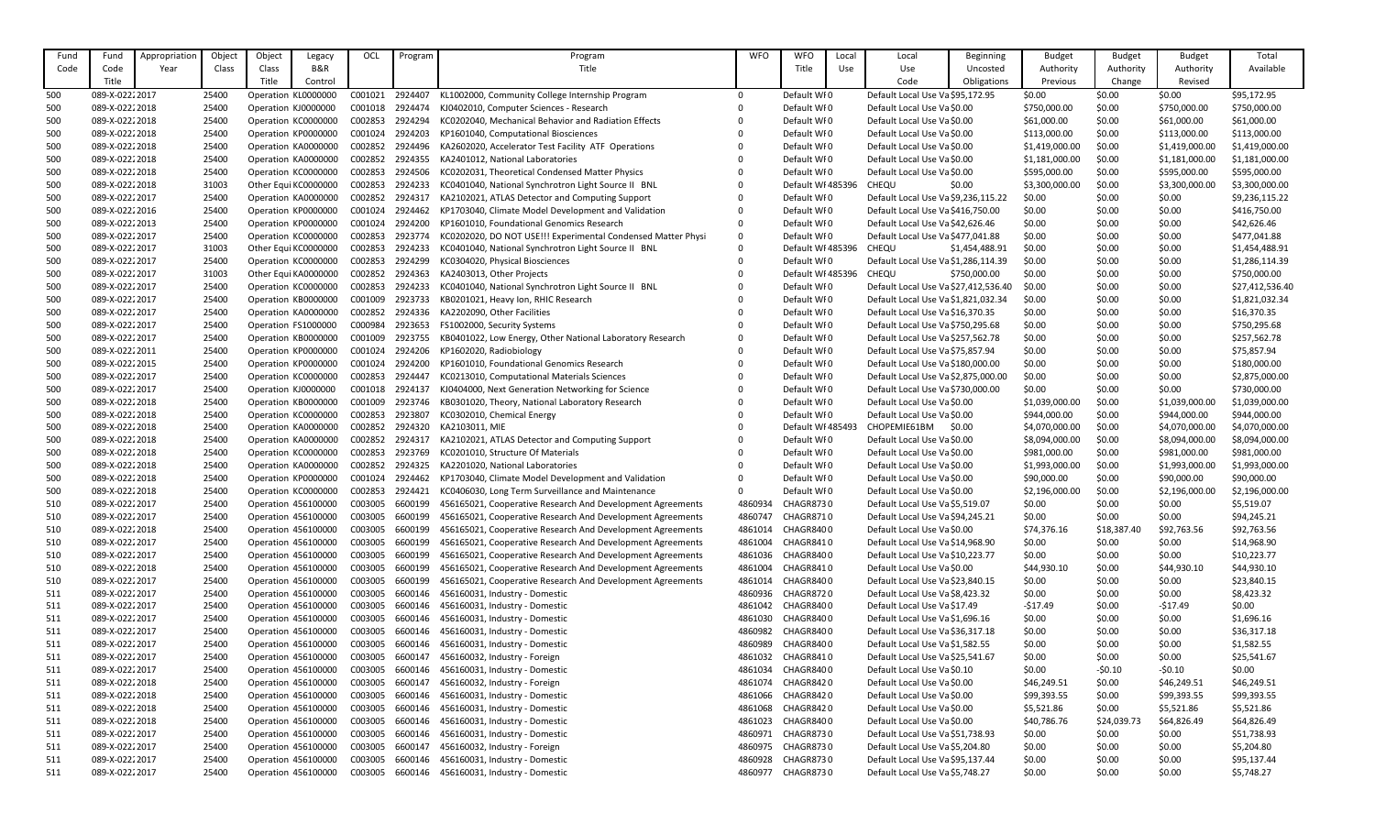| Fund | Fund            | Appropriation | Object | Object              | Legacy               | OCL     | Program | Program                                                      | <b>WFO</b> | <b>WFO</b>        | Local | Local                                | Beginning          | <b>Budget</b>  | <b>Budget</b> | <b>Budget</b>  | Total           |
|------|-----------------|---------------|--------|---------------------|----------------------|---------|---------|--------------------------------------------------------------|------------|-------------------|-------|--------------------------------------|--------------------|----------------|---------------|----------------|-----------------|
| Code | Code            | Year          | Class  | Class               | <b>B&amp;R</b>       |         |         | Title                                                        |            | Title             | Use   | Use                                  | Uncosted           | Authority      | Authority     | Authority      | Available       |
|      | Title           |               |        | Title               | Control              |         |         |                                                              |            |                   |       | Code                                 | <b>Obligations</b> | Previous       | Change        | Revised        |                 |
| 500  | 089-X-0222 2017 |               | 25400  |                     | Operation KL0000000  | C001021 | 2924407 | KL1002000, Community College Internship Program              | $\Omega$   | Default WF0       |       | Default Local Use Va \$95,172.95     |                    | \$0.00         | \$0.00        | \$0.00         | \$95,172.95     |
| 500  | 089-X-02222018  |               | 25400  | Operation KJ0000000 |                      | C001018 | 2924474 | KJ0402010, Computer Sciences - Research                      |            | Default WF0       |       | Default Local Use Va \$0.00          |                    | \$750,000.00   | \$0.00        | \$750,000.00   | \$750,000.00    |
| 500  | 089-X-02222018  |               | 25400  | Operation KC0000000 |                      | C002853 | 2924294 | KC0202040, Mechanical Behavior and Radiation Effects         |            | Default WFO       |       | Default Local Use Va \$0.00          |                    | \$61,000.00    | \$0.00        | \$61,000.00    | \$61,000.00     |
| 500  | 089-X-02222018  |               | 25400  |                     | Operation KP0000000  | C001024 | 2924203 | KP1601040, Computational Biosciences                         |            | Default WFO       |       | Default Local Use Va \$0.00          |                    | \$113,000.00   | \$0.00        | \$113,000.00   | \$113,000.00    |
| 500  | 089-X-02222018  |               | 25400  |                     | Operation KA0000000  | C002852 | 2924496 | KA2602020, Accelerator Test Facility ATF Operations          |            | Default WF0       |       | Default Local Use Va \$0.00          |                    | \$1,419,000.00 | \$0.00        | \$1,419,000.00 | \$1,419,000.00  |
| 500  | 089-X-02222018  |               | 25400  |                     | Operation KA0000000  | C002852 | 2924355 | KA2401012, National Laboratories                             |            | Default WF0       |       | Default Local Use Va \$0.00          |                    | \$1,181,000.00 | \$0.00        | \$1,181,000.00 | \$1,181,000.00  |
| 500  | 089-X-0222 2018 |               | 25400  |                     | Operation KC0000000  | C002853 | 2924506 | KC0202031, Theoretical Condensed Matter Physics              |            | Default WF0       |       | Default Local Use Va \$0.00          |                    | \$595,000.00   | \$0.00        | \$595,000.00   | \$595,000.00    |
| 500  | 089-X-02222018  |               | 31003  |                     | Other Equi KC0000000 | C002853 | 2924233 | KC0401040, National Synchrotron Light Source II BNL          |            | Default WI 485396 |       | <b>CHEQU</b>                         | \$0.00             | \$3,300,000.00 | \$0.00        | \$3,300,000.00 | \$3,300,000.00  |
| 500  | 089-X-02222017  |               | 25400  |                     | Operation KA0000000  | C002852 | 2924317 | KA2102021, ATLAS Detector and Computing Support              |            | Default WF0       |       | Default Local Use Va \$9,236,115.22  |                    | \$0.00         | \$0.00        | \$0.00         | \$9,236,115.22  |
| 500  | 089-X-02222016  |               | 25400  |                     | Operation KP0000000  | C001024 | 2924462 | KP1703040, Climate Model Development and Validation          |            | Default WI0       |       | Default Local Use Va \$416,750.00    |                    | \$0.00         | \$0.00        | \$0.00         | \$416,750.00    |
| 500  | 089-X-02222013  |               | 25400  |                     | Operation KP0000000  | C001024 | 2924200 | KP1601010, Foundational Genomics Research                    |            | Default WF0       |       | Default Local Use Va \$42,626.46     |                    | \$0.00         | \$0.00        | \$0.00         | \$42,626.46     |
| 500  | 089-X-02222017  |               | 25400  |                     | Operation KC0000000  | C002853 | 2923774 | KC0202020, DO NOT USE!!! Experimental Condensed Matter Physi | $\Omega$   | Default WFO       |       | Default Local Use Va \$477,041.88    |                    | \$0.00         | \$0.00        | \$0.00         | \$477,041.88    |
| 500  | 089-X-02222017  |               | 31003  |                     | Other Equi KC0000000 | C002853 | 2924233 | KC0401040, National Synchrotron Light Source II BNL          |            | Default WI 485396 |       | CHEQU                                | \$1,454,488.91     | \$0.00         | \$0.00        | \$0.00         | \$1,454,488.91  |
| 500  | 089-X-02222017  |               | 25400  |                     | Operation KC0000000  | C002853 | 2924299 | KC0304020, Physical Biosciences                              |            | Default WF0       |       | Default Local Use Va \$1,286,114.39  |                    | \$0.00         | \$0.00        | \$0.00         | \$1,286,114.39  |
| 500  | 089-X-02222017  |               | 31003  |                     | Other Equi KA0000000 | C002852 | 2924363 | KA2403013, Other Projects                                    |            | Default WF485396  |       | CHEQU                                | \$750,000.00       | \$0.00         | \$0.00        | \$0.00         | \$750,000.00    |
| 500  | 089-X-02222017  |               | 25400  |                     | Operation KC0000000  | C002853 | 2924233 | KC0401040, National Synchrotron Light Source II BNL          |            | Default WF0       |       | Default Local Use Va \$27,412,536.40 |                    | \$0.00         | \$0.00        | \$0.00         | \$27,412,536.40 |
| 500  | 089-X-02222017  |               | 25400  |                     | Operation KB0000000  | C001009 | 2923733 | KB0201021, Heavy Ion, RHIC Research                          |            | Default WF0       |       | Default Local Use Va \$1,821,032.34  |                    | \$0.00         | \$0.00        | \$0.00         | \$1,821,032.34  |
| 500  | 089-X-02222017  |               | 25400  |                     | Operation KA0000000  | C002852 | 2924336 | KA2202090, Other Facilities                                  |            | Default WFO       |       | Default Local Use Va \$16,370.35     |                    | \$0.00         | \$0.00        | \$0.00         | \$16,370.35     |
| 500  | 089-X-02222017  |               | 25400  | Operation FS1000000 |                      | C000984 | 2923653 | FS1002000, Security Systems                                  |            | Default WFO       |       | Default Local Use Va \$750,295.68    |                    | \$0.00         | \$0.00        | \$0.00         | \$750,295.68    |
| 500  | 089-X-02222017  |               | 25400  |                     | Operation KB0000000  | C001009 | 2923755 | KB0401022, Low Energy, Other National Laboratory Research    |            | Default WI0       |       | Default Local Use Va \$257,562.78    |                    | \$0.00         | \$0.00        | \$0.00         | \$257,562.78    |
| 500  | 089-X-02222011  |               | 25400  |                     | Operation KP0000000  | C001024 | 2924206 | KP1602020, Radiobiology                                      |            | Default WF0       |       | Default Local Use Va \$75,857.94     |                    | \$0.00         | \$0.00        | \$0.00         | \$75,857.94     |
| 500  | 089-X-02222015  |               | 25400  |                     | Operation KP0000000  | C001024 | 2924200 | KP1601010, Foundational Genomics Research                    |            | Default WF0       |       | Default Local Use Va \$180,000.00    |                    | \$0.00         | \$0.00        | \$0.00         | \$180,000.00    |
| 500  | 089-X-02222017  |               | 25400  |                     | Operation KC0000000  | C002853 | 2924447 | KC0213010, Computational Materials Sciences                  |            | Default WFO       |       | Default Local Use Va \$2,875,000.00  |                    | \$0.00         | \$0.00        | \$0.00         | \$2,875,000.00  |
| 500  | 089-X-02222017  |               | 25400  | Operation KJ0000000 |                      | C001018 | 2924137 | KJ0404000, Next Generation Networking for Science            |            | Default WFO       |       | Default Local Use Va \$730,000.00    |                    | \$0.00         | \$0.00        | \$0.00         | \$730,000.00    |
| 500  | 089-X-02222018  |               | 25400  |                     | Operation KB0000000  | C001009 | 2923746 | KB0301020, Theory, National Laboratory Research              |            | Default WF0       |       | Default Local Use Va \$0.00          |                    | \$1,039,000.00 | \$0.00        | \$1,039,000.00 | \$1,039,000.00  |
| 500  | 089-X-02222018  |               | 25400  |                     | Operation KC0000000  | C002853 | 2923807 | KC0302010, Chemical Energy                                   |            | Default WF0       |       | Default Local Use Va \$0.00          |                    | \$944,000.00   | \$0.00        | \$944,000.00   | \$944,000.00    |
| 500  | 089-X-02222018  |               | 25400  |                     | Operation KA0000000  | C002852 | 2924320 | KA2103011, MIE                                               |            | Default WI 485493 |       | CHOPEMIE61BM                         | \$0.00             | \$4,070,000.00 | \$0.00        | \$4,070,000.00 | \$4,070,000.00  |
| 500  | 089-X-02222018  |               | 25400  |                     | Operation KA0000000  | C002852 | 2924317 | KA2102021, ATLAS Detector and Computing Support              |            | Default WFO       |       | Default Local Use Va \$0.00          |                    | \$8,094,000.00 | \$0.00        | \$8,094,000.00 | \$8,094,000.00  |
| 500  | 089-X-02222018  |               | 25400  |                     | Operation KC0000000  | C002853 | 2923769 | KC0201010, Structure Of Materials                            |            | Default WFO       |       | Default Local Use Va \$0.00          |                    | \$981,000.00   | \$0.00        | \$981,000.00   | \$981,000.00    |
| 500  | 089-X-02222018  |               | 25400  |                     | Operation KA0000000  | C002852 | 2924325 | KA2201020, National Laboratories                             |            | Default WI0       |       | Default Local Use Va \$0.00          |                    | \$1,993,000.00 | \$0.00        | \$1,993,000.00 | \$1,993,000.00  |
| 500  | 089-X-02222018  |               | 25400  |                     | Operation KP0000000  | C001024 | 2924462 | KP1703040, Climate Model Development and Validation          |            | Default WF0       |       | Default Local Use Va \$0.00          |                    | \$90,000.00    | \$0.00        | \$90,000.00    | \$90,000.00     |
| 500  | 089-X-0222 2018 |               | 25400  |                     | Operation KC0000000  | C002853 | 2924421 | KC0406030, Long Term Surveillance and Maintenance            |            | Default WFO       |       | Default Local Use Va \$0.00          |                    | \$2,196,000.00 | \$0.00        | \$2,196,000.00 | \$2,196,000.00  |
| 510  | 089-X-02222017  |               | 25400  |                     | Operation 456100000  | C003005 | 6600199 | 456165021, Cooperative Research And Development Agreements   | 4860934    | CHAGR8730         |       | Default Local Use Va \$5,519.07      |                    | \$0.00         | \$0.00        | \$0.00         | \$5,519.07      |
| 510  | 089-X-02222017  |               | 25400  |                     | Operation 456100000  | C003005 | 6600199 | 456165021, Cooperative Research And Development Agreements   | 4860747    | CHAGR8710         |       | Default Local Use Va \$94,245.21     |                    | \$0.00         | \$0.00        | \$0.00         | \$94,245.21     |
| 510  | 089-X-0222 2018 |               | 25400  |                     | Operation 456100000  | C003005 | 6600199 | 456165021, Cooperative Research And Development Agreements   | 4861014    | CHAGR8400         |       | Default Local Use Va \$0.00          |                    | \$74,376.16    | \$18,387.40   | \$92,763.56    | \$92,763.56     |
| 510  | 089-X-0222 2017 |               | 25400  |                     | Operation 456100000  | C003005 | 6600199 | 456165021, Cooperative Research And Development Agreements   | 4861004    | CHAGR8410         |       | Default Local Use Va \$14,968.90     |                    | \$0.00         | \$0.00        | \$0.00         | \$14,968.90     |
| 510  | 089-X-02222017  |               | 25400  |                     | Operation 456100000  | C003005 | 6600199 | 456165021, Cooperative Research And Development Agreements   | 4861036    | CHAGR8400         |       | Default Local Use Va \$10,223.77     |                    | \$0.00         | \$0.00        | \$0.00         | \$10,223.77     |
| 510  | 089-X-02222018  |               | 25400  |                     | Operation 456100000  | C003005 | 6600199 | 456165021, Cooperative Research And Development Agreements   | 4861004    | CHAGR8410         |       | Default Local Use Va \$0.00          |                    | \$44,930.10    | \$0.00        | \$44,930.10    | \$44,930.10     |
| 510  | 089-X-02222017  |               | 25400  |                     | Operation 456100000  | C003005 | 6600199 | 456165021, Cooperative Research And Development Agreements   | 4861014    | CHAGR8400         |       | Default Local Use Va \$23,840.15     |                    | \$0.00         | \$0.00        | \$0.00         | \$23,840.15     |
| 511  | 089-X-02222017  |               | 25400  |                     | Operation 456100000  | C003005 | 6600146 | 456160031, Industry - Domestic                               | 4860936    | CHAGR8720         |       | Default Local Use Va \$8,423.32      |                    | \$0.00         | \$0.00        | \$0.00         | \$8,423.32      |
| 511  | 089-X-02222017  |               | 25400  |                     | Operation 456100000  | C003005 | 6600146 | 456160031, Industry - Domestic                               | 4861042    | CHAGR8400         |       | Default Local Use Va \$17.49         |                    | -\$17.49       | \$0.00        | $-517.49$      | \$0.00          |
| 511  | 089-X-02222017  |               | 25400  |                     | Operation 456100000  | C003005 | 6600146 | 456160031, Industry - Domestic                               | 4861030    | CHAGR8400         |       | Default Local Use Va \$1,696.16      |                    | \$0.00         | \$0.00        | \$0.00         | \$1,696.16      |
| 511  | 089-X-02222017  |               | 25400  |                     | Operation 456100000  | C003005 | 6600146 | 456160031, Industry - Domestic                               | 4860982    | CHAGR8400         |       | Default Local Use Va \$36,317.18     |                    | \$0.00         | \$0.00        | \$0.00         | \$36,317.18     |
| 511  | 089-X-02222017  |               | 25400  |                     | Operation 456100000  | C003005 | 6600146 | 456160031, Industry - Domestic                               | 4860989    | CHAGR8400         |       | Default Local Use Va \$1,582.55      |                    | \$0.00         | \$0.00        | \$0.00         | \$1,582.55      |
| 511  | 089-X-02222017  |               | 25400  |                     | Operation 456100000  | C003005 | 6600147 | 456160032, Industry - Foreign                                | 4861032    | CHAGR8410         |       | Default Local Use Va \$25,541.67     |                    | \$0.00         | \$0.00        | \$0.00         | \$25,541.67     |
| 511  | 089-X-02222017  |               | 25400  |                     | Operation 456100000  | C003005 | 6600146 | 456160031, Industry - Domestic                               | 4861034    | CHAGR8400         |       | Default Local Use Va \$0.10          |                    | \$0.00         | $-50.10$      | $-50.10$       | \$0.00          |
| 511  | 089-X-02222018  |               | 25400  |                     | Operation 456100000  | C003005 | 6600147 | 456160032, Industry - Foreign                                | 4861074    | CHAGR8420         |       | Default Local Use Va \$0.00          |                    | \$46,249.51    | \$0.00        | \$46,249.51    | \$46,249.51     |
| 511  | 089-X-02222018  |               | 25400  |                     | Operation 456100000  | C003005 | 6600146 | 456160031, Industry - Domestic                               | 4861066    | CHAGR8420         |       | Default Local Use Va \$0.00          |                    | \$99,393.55    | \$0.00        | \$99,393.55    | \$99,393.55     |
| 511  | 089-X-02222018  |               | 25400  |                     | Operation 456100000  | C003005 | 6600146 | 456160031, Industry - Domestic                               | 4861068    | CHAGR8420         |       | Default Local Use Va \$0.00          |                    | \$5,521.86     | \$0.00        | \$5,521.86     | \$5,521.86      |
| 511  | 089-X-02222018  |               | 25400  |                     | Operation 456100000  | C003005 | 6600146 | 456160031, Industry - Domestic                               | 4861023    | CHAGR8400         |       | Default Local Use Va \$0.00          |                    | \$40,786.76    | \$24,039.73   | \$64,826.49    | \$64,826.49     |
| 511  | 089-X-02222017  |               | 25400  |                     | Operation 456100000  | C003005 | 6600146 | 456160031, Industry - Domestic                               | 4860971    | CHAGR8730         |       | Default Local Use Va \$51,738.93     |                    | \$0.00         | \$0.00        | \$0.00         | \$51,738.93     |
| 511  | 089-X-02222017  |               | 25400  |                     | Operation 456100000  | C003005 | 6600147 | 456160032, Industry - Foreign                                | 4860975    | CHAGR8730         |       | Default Local Use Va \$5,204.80      |                    | \$0.00         | \$0.00        | \$0.00         | \$5,204.80      |
| 511  | 089-X-02222017  |               | 25400  |                     | Operation 456100000  | C003005 | 6600146 | 456160031, Industry - Domestic                               | 4860928    | CHAGR8730         |       | Default Local Use Va \$95,137.44     |                    | \$0.00         | \$0.00        | \$0.00         | \$95,137.44     |
| 511  | 089-X-02222017  |               | 25400  |                     | Operation 456100000  | C003005 | 6600146 | 456160031, Industry - Domestic                               | 4860977    | CHAGR8730         |       | Default Local Use Va \$5,748.27      |                    | \$0.00         | \$0.00        | \$0.00         | \$5,748.27      |
|      |                 |               |        |                     |                      |         |         |                                                              |            |                   |       |                                      |                    |                |               |                |                 |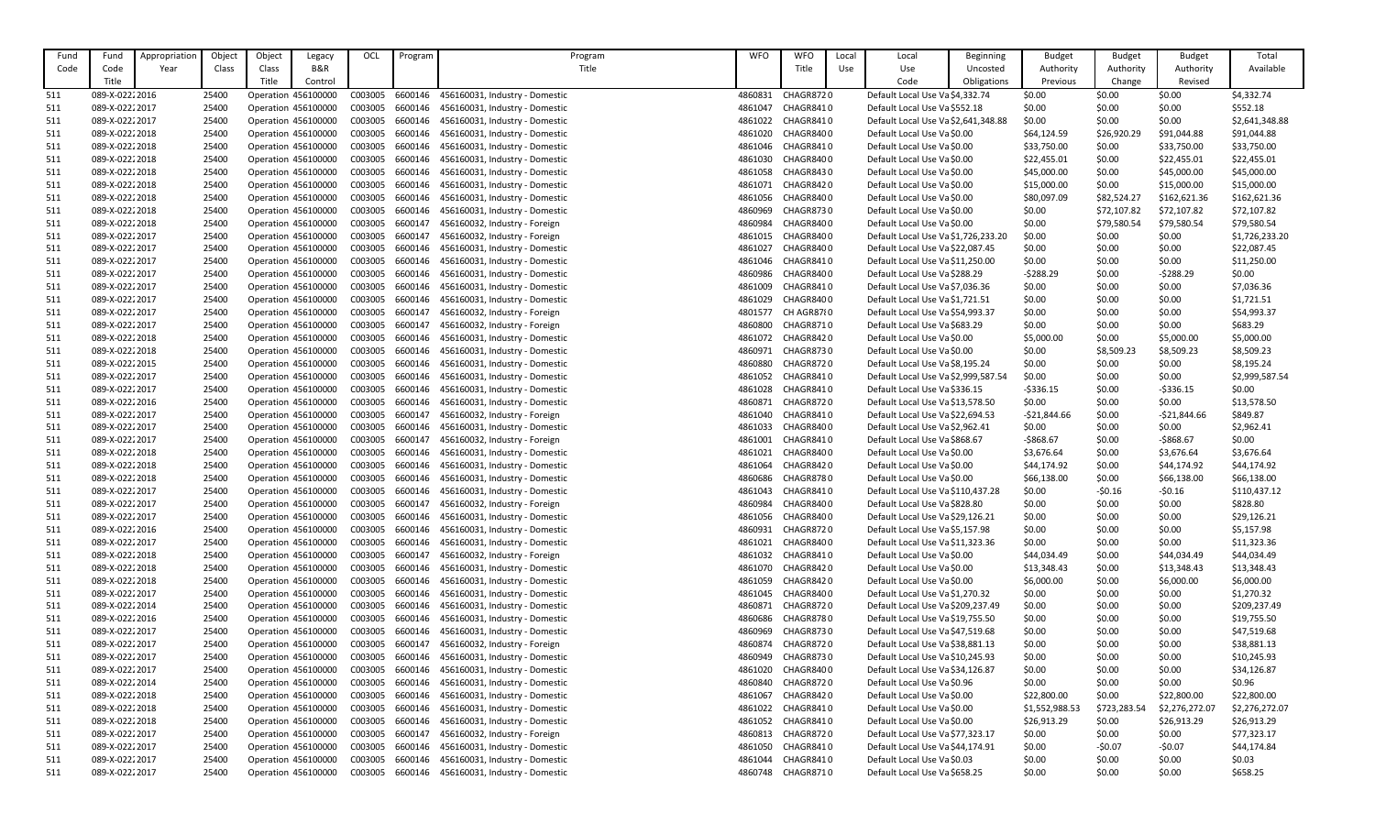| Fund       | Fund            | Appropriatior | Object | Object | Legacy              | OCL     | Program | Program                        | <b>WFO</b> | <b>WFO</b>       | Local | Local                               | <b>Beginning</b> | <b>Budget</b>  | <b>Budget</b> | <b>Budget</b>  | Total          |
|------------|-----------------|---------------|--------|--------|---------------------|---------|---------|--------------------------------|------------|------------------|-------|-------------------------------------|------------------|----------------|---------------|----------------|----------------|
| Code       | Code            | Year          | Class  | Class  | <b>B&amp;R</b>      |         |         | Title                          |            | Title            | Use   | Use                                 | Uncosted         | Authority      | Authority     | Authority      | Available      |
|            | Title           |               |        | Title  | Control             |         |         |                                |            |                  |       | Code                                | Obligations      | Previous       | Change        | Revised        |                |
|            |                 |               |        |        |                     |         |         |                                |            |                  |       |                                     |                  |                |               |                |                |
| 511        | 089-X-0222 2016 |               | 25400  |        | Operation 456100000 | C003005 | 6600146 | 456160031, Industry - Domestic | 4860831    | CHAGR8720        |       | Default Local Use Va \$4,332.74     |                  | \$0.00         | \$0.00        | \$0.00         | \$4,332.74     |
| 511        | 089-X-02222017  |               | 25400  |        | Operation 456100000 | C003005 | 6600146 | 456160031, Industry - Domestic | 4861047    | CHAGR8410        |       | Default Local Use Va \$552.18       |                  | \$0.00         | \$0.00        | \$0.00         | \$552.18       |
| 511        | 089-X-02222017  |               | 25400  |        | Operation 456100000 | C003005 | 6600146 | 456160031, Industry - Domestic | 4861022    | CHAGR8410        |       | Default Local Use Va \$2,641,348.88 |                  | \$0.00         | \$0.00        | \$0.00         | \$2,641,348.88 |
| 511        | 089-X-02222018  |               | 25400  |        | Operation 456100000 | C003005 | 6600146 | 456160031, Industry - Domestic | 4861020    | CHAGR8400        |       | Default Local Use Va \$0.00         |                  | \$64,124.59    | \$26,920.29   | \$91,044.88    | \$91,044.88    |
| 511        | 089-X-02222018  |               | 25400  |        | Operation 456100000 | C003005 | 6600146 | 456160031, Industry - Domestic | 4861046    | CHAGR8410        |       | Default Local Use Va \$0.00         |                  | \$33,750.00    | \$0.00        | \$33,750.00    | \$33,750.00    |
| 511        | 089-X-02222018  |               | 25400  |        | Operation 456100000 | C003005 | 6600146 | 456160031, Industry - Domestic | 4861030    | CHAGR8400        |       | Default Local Use Va \$0.00         |                  | \$22,455.01    | \$0.00        | \$22,455.01    | \$22,455.01    |
| 511        | 089-X-02222018  |               | 25400  |        | Operation 456100000 | C003005 | 6600146 | 456160031, Industry - Domestic | 4861058    | CHAGR8430        |       | Default Local Use Va \$0.00         |                  | \$45,000.00    | \$0.00        | \$45,000.00    | \$45,000.00    |
| 511        | 089-X-02222018  |               | 25400  |        | Operation 456100000 | C003005 | 6600146 | 456160031, Industry - Domestic | 4861071    | CHAGR8420        |       | Default Local Use Va \$0.00         |                  | \$15,000.00    | \$0.00        | \$15,000.00    | \$15,000.00    |
| 511        | 089-X-02222018  |               | 25400  |        | Operation 456100000 | C003005 | 6600146 | 456160031, Industry - Domestic | 4861056    | CHAGR8400        |       | Default Local Use Va \$0.00         |                  | \$80,097.09    | \$82,524.27   | \$162,621.36   | \$162,621.36   |
| 511        | 089-X-02222018  |               | 25400  |        | Operation 456100000 | C003005 | 6600146 | 456160031, Industry - Domestic | 4860969    | <b>CHAGR8730</b> |       | Default Local Use Va \$0.00         |                  | \$0.00         | \$72,107.82   | \$72,107.82    | \$72,107.82    |
| 511        | 089-X-02222018  |               | 25400  |        | Operation 456100000 | C003005 | 6600147 | 456160032, Industry - Foreign  | 4860984    | CHAGR8400        |       | Default Local Use Va \$0.00         |                  | \$0.00         | \$79,580.54   | \$79,580.54    | \$79,580.54    |
| 511        | 089-X-02222017  |               | 25400  |        | Operation 456100000 | C003005 | 6600147 | 456160032, Industry - Foreign  | 4861015    | CHAGR8400        |       | Default Local Use Va \$1,726,233.20 |                  | \$0.00         | \$0.00        | \$0.00         | \$1,726,233.20 |
| 511        | 089-X-02222017  |               | 25400  |        | Operation 456100000 | C003005 | 6600146 | 456160031, Industry - Domestic | 4861027    | CHAGR8400        |       | Default Local Use Va \$22,087.45    |                  | \$0.00         | \$0.00        | \$0.00         | \$22,087.45    |
| 511        | 089-X-02222017  |               | 25400  |        | Operation 456100000 | C003005 | 6600146 | 456160031, Industry - Domestic | 4861046    | CHAGR8410        |       | Default Local Use Va \$11,250.00    |                  | \$0.00         | \$0.00        | \$0.00         | \$11,250.00    |
| 511        | 089-X-02222017  |               | 25400  |        | Operation 456100000 | C003005 | 6600146 | 456160031, Industry - Domestic | 4860986    | CHAGR8400        |       | Default Local Use Va \$288.29       |                  | $-5288.29$     | \$0.00        | $-5288.29$     | \$0.00         |
| 511        | 089-X-02222017  |               | 25400  |        | Operation 456100000 | C003005 | 6600146 | 456160031, Industry - Domestic | 4861009    | CHAGR8410        |       | Default Local Use Va \$7,036.36     |                  | \$0.00         | \$0.00        | \$0.00         | \$7,036.36     |
| 511        | 089-X-02222017  |               | 25400  |        | Operation 456100000 | C003005 | 6600146 | 456160031, Industry - Domestic | 4861029    | CHAGR8400        |       | Default Local Use Va \$1,721.51     |                  | \$0.00         | \$0.00        | \$0.00         | \$1,721.51     |
| 511        | 089-X-02222017  |               | 25400  |        | Operation 456100000 | C003005 | 6600147 | 456160032, Industry - Foreign  | 4801577    | CH AGR8780       |       | Default Local Use Va \$54,993.37    |                  | \$0.00         | \$0.00        | \$0.00         | \$54,993.37    |
| 511        | 089-X-02222017  |               | 25400  |        | Operation 456100000 | C003005 | 6600147 | 456160032, Industry - Foreign  | 4860800    | CHAGR8710        |       | Default Local Use Va \$683.29       |                  | \$0.00         | \$0.00        | \$0.00         | \$683.29       |
| 511        | 089-X-02222018  |               | 25400  |        | Operation 456100000 | C003005 | 6600146 | 456160031, Industry - Domestic | 4861072    | CHAGR8420        |       | Default Local Use Va \$0.00         |                  | \$5,000.00     | \$0.00        | \$5,000.00     | \$5,000.00     |
| 511        | 089-X-02222018  |               | 25400  |        | Operation 456100000 | C003005 | 6600146 | 456160031, Industry - Domestic | 4860971    | CHAGR8730        |       | Default Local Use Va \$0.00         |                  | \$0.00         | \$8,509.23    | \$8,509.23     | \$8,509.23     |
| 511        | 089-X-02222015  |               | 25400  |        | Operation 456100000 | C003005 | 6600146 | 456160031, Industry - Domestic | 4860880    | CHAGR8720        |       | Default Local Use Va \$8,195.24     |                  | \$0.00         | \$0.00        | \$0.00         | \$8,195.24     |
| 511        | 089-X-02222017  |               | 25400  |        | Operation 456100000 | C003005 | 6600146 | 456160031, Industry - Domestic | 4861052    | CHAGR8410        |       | Default Local Use Va \$2,999,587.54 |                  | \$0.00         | \$0.00        | \$0.00         | \$2,999,587.54 |
| 511        | 089-X-02222017  |               | 25400  |        | Operation 456100000 | C003005 | 6600146 | 456160031, Industry - Domestic | 4861028    | CHAGR8410        |       | Default Local Use Va \$336.15       |                  | $-$ \$336.15   | \$0.00        | $-5336.15$     | \$0.00         |
| 511        | 089-X-02222016  |               | 25400  |        | Operation 456100000 | C003005 | 6600146 | 456160031, Industry - Domestic | 4860871    | CHAGR8720        |       | Default Local Use Va \$13,578.50    |                  | \$0.00         | \$0.00        | \$0.00         | \$13,578.50    |
| 511        | 089-X-02222017  |               | 25400  |        | Operation 456100000 | C003005 | 6600147 | 456160032, Industry - Foreign  | 4861040    | CHAGR8410        |       | Default Local Use Va \$22,694.53    |                  | $-521,844.66$  | \$0.00        | $-521,844.66$  | \$849.87       |
| 511        | 089-X-02222017  |               | 25400  |        | Operation 456100000 | C003005 | 6600146 | 456160031, Industry - Domestic | 4861033    | CHAGR8400        |       | Default Local Use Va \$2,962.41     |                  | \$0.00         | \$0.00        | \$0.00         | \$2,962.41     |
| 511        | 089-X-02222017  |               | 25400  |        | Operation 456100000 | C003005 | 6600147 | 456160032, Industry - Foreign  | 4861001    | CHAGR8410        |       | Default Local Use Va \$868.67       |                  | -\$868.67      | \$0.00        | $-5868.67$     | \$0.00         |
| 511        | 089-X-02222018  |               | 25400  |        | Operation 456100000 | C003005 | 6600146 | 456160031, Industry - Domestic | 4861021    | CHAGR8400        |       | Default Local Use Va \$0.00         |                  | \$3,676.64     | \$0.00        | \$3,676.64     | \$3,676.64     |
| 511        | 089-X-02222018  |               | 25400  |        | Operation 456100000 | C003005 | 6600146 | 456160031, Industry - Domestic | 4861064    | CHAGR8420        |       | Default Local Use Va \$0.00         |                  | \$44,174.92    | \$0.00        | \$44,174.92    | \$44,174.92    |
| 511        | 089-X-02222018  |               | 25400  |        | Operation 456100000 | C003005 | 6600146 | 456160031, Industry - Domestic | 4860686    | CHAGR8780        |       | Default Local Use Va \$0.00         |                  | \$66,138.00    | \$0.00        | \$66,138.00    | \$66,138.00    |
| 511        | 089-X-02222017  |               | 25400  |        | Operation 456100000 | C003005 | 6600146 | 456160031, Industry - Domestic | 4861043    | CHAGR8410        |       | Default Local Use Va \$110,437.28   |                  | \$0.00         | $-50.16$      | $-50.16$       | \$110,437.12   |
| 511        | 089-X-02222017  |               | 25400  |        | Operation 456100000 | C003005 | 6600147 | 456160032, Industry - Foreign  | 4860984    | CHAGR8400        |       | Default Local Use Va \$828.80       |                  | \$0.00         | \$0.00        | \$0.00         | \$828.80       |
| 511        | 089-X-02222017  |               | 25400  |        | Operation 456100000 | C003005 | 6600146 | 456160031, Industry - Domestic | 4861056    | CHAGR8400        |       | Default Local Use Va \$29,126.21    |                  | \$0.00         | \$0.00        | \$0.00         | \$29,126.21    |
| 511        | 089-X-02222016  |               | 25400  |        | Operation 456100000 | C003005 | 6600146 | 456160031, Industry - Domestic | 4860931    | CHAGR8720        |       | Default Local Use Va \$5,157.98     |                  | \$0.00         | \$0.00        | \$0.00         | \$5,157.98     |
| 511        | 089-X-02222017  |               | 25400  |        | Operation 456100000 | C003005 | 6600146 | 456160031, Industry - Domestic | 4861021    | CHAGR8400        |       | Default Local Use Va \$11,323.36    |                  | \$0.00         | \$0.00        | \$0.00         | \$11,323.36    |
| 511        | 089-X-02222018  |               | 25400  |        | Operation 456100000 | C003005 | 6600147 | 456160032, Industry - Foreign  | 4861032    | CHAGR8410        |       | Default Local Use Va \$0.00         |                  | \$44,034.49    | \$0.00        | \$44,034.49    | \$44,034.49    |
| 511        | 089-X-02222018  |               | 25400  |        | Operation 456100000 | C003005 | 6600146 | 456160031, Industry - Domestic | 4861070    | CHAGR8420        |       | Default Local Use Va \$0.00         |                  | \$13,348.43    | \$0.00        | \$13,348.43    | \$13,348.43    |
| <u>511</u> | 089-X-0222 2018 |               | 25400  |        | Operation 456100000 | C003005 | 6600146 | 456160031, Industry - Domestic | 4861059    | CHAGR8420        |       | Default Local Use Va \$0.00         |                  | \$6,000.00     | \$0.00        | \$6,000.00     | \$6,000.00     |
| 511        | 089-X-02222017  |               | 25400  |        | Operation 456100000 | C003005 | 6600146 | 456160031, Industry - Domestic | 4861045    | CHAGR8400        |       | Default Local Use Va \$1,270.32     |                  | \$0.00         | \$0.00        | \$0.00         | \$1,270.32     |
| 511        | 089-X-02222014  |               | 25400  |        | Operation 456100000 | C003005 | 6600146 | 456160031, Industry - Domestic | 4860871    | CHAGR8720        |       | Default Local Use Va \$209,237.49   |                  | \$0.00         | \$0.00        | \$0.00         | \$209,237.49   |
| 511        | 089-X-0222 2016 |               | 25400  |        | Operation 456100000 | C003005 | 6600146 | 456160031, Industry - Domestic | 4860686    | CHAGR8780        |       | Default Local Use Va \$19,755.50    |                  | \$0.00         | \$0.00        | \$0.00         | \$19,755.50    |
| 511        | 089-X-02222017  |               | 25400  |        | Operation 456100000 | C003005 | 6600146 | 456160031, Industry - Domestic | 4860969    | CHAGR8730        |       | Default Local Use Va \$47,519.68    |                  | \$0.00         | \$0.00        | \$0.00         | \$47,519.68    |
| 511        | 089-X-02222017  |               | 25400  |        | Operation 456100000 | C003005 | 6600147 | 456160032, Industry - Foreign  | 4860874    | CHAGR8720        |       | Default Local Use Va \$38,881.13    |                  | \$0.00         | \$0.00        | \$0.00         | \$38,881.13    |
| 511        | 089-X-02222017  |               | 25400  |        | Operation 456100000 | C003005 | 6600146 | 456160031, Industry - Domestic | 4860949    | CHAGR8730        |       | Default Local Use Va \$10,245.93    |                  | \$0.00         | \$0.00        | \$0.00         | \$10,245.93    |
| 511        | 089-X-02222017  |               | 25400  |        | Operation 456100000 | C003005 | 6600146 | 456160031, Industry - Domestic | 4861020    | CHAGR8400        |       | Default Local Use Va \$34,126.87    |                  | \$0.00         | \$0.00        | \$0.00         | \$34,126.87    |
| 511        | 089-X-02222014  |               | 25400  |        | Operation 456100000 | C003005 | 6600146 | 456160031, Industry - Domestic | 4860840    | CHAGR8720        |       | Default Local Use Va \$0.96         |                  | \$0.00         | \$0.00        | \$0.00         | \$0.96         |
| 511        | 089-X-02222018  |               | 25400  |        | Operation 456100000 | C003005 | 6600146 | 456160031, Industry - Domestic | 4861067    | CHAGR8420        |       | Default Local Use Va \$0.00         |                  | \$22,800.00    | \$0.00        | \$22,800.00    | \$22,800.00    |
| <u>511</u> | 089-X-02222018  |               | 25400  |        | Operation 456100000 | C003005 | 6600146 | 456160031, Industry - Domestic | 4861022    | CHAGR8410        |       | Default Local Use Va \$0.00         |                  | \$1,552,988.53 | \$723,283.54  | \$2,276,272.07 | \$2,276,272.07 |
| 511        | 089-X-02222018  |               | 25400  |        | Operation 456100000 | C003005 | 6600146 | 456160031, Industry - Domestic | 4861052    | CHAGR8410        |       | Default Local Use Va \$0.00         |                  | \$26,913.29    | \$0.00        | \$26,913.29    | \$26,913.29    |
| 511        | 089-X-02222017  |               | 25400  |        | Operation 456100000 | C003005 | 6600147 | 456160032, Industry - Foreign  | 4860813    | CHAGR8720        |       | Default Local Use Va \$77,323.17    |                  | \$0.00         | \$0.00        | \$0.00         | \$77,323.17    |
| 511        | 089-X-02222017  |               | 25400  |        | Operation 456100000 | C003005 | 6600146 | 456160031, Industry - Domestic | 4861050    | CHAGR8410        |       | Default Local Use Va \$44,174.91    |                  | \$0.00         | $-50.07$      | $-50.07$       | \$44,174.84    |
| 511        | 089-X-02222017  |               | 25400  |        | Operation 456100000 | C003005 | 6600146 | 456160031, Industry - Domestic | 4861044    | CHAGR8410        |       | Default Local Use Va \$0.03         |                  | \$0.00         | \$0.00        | \$0.00         | \$0.03         |
| <u>511</u> | 089-X-02222017  |               | 25400  |        | Operation 456100000 | C003005 | 6600146 | 456160031, Industry - Domestic | 4860748    | CHAGR8710        |       | Default Local Use Va \$658.25       |                  | \$0.00         | \$0.00        | \$0.00         | \$658.25       |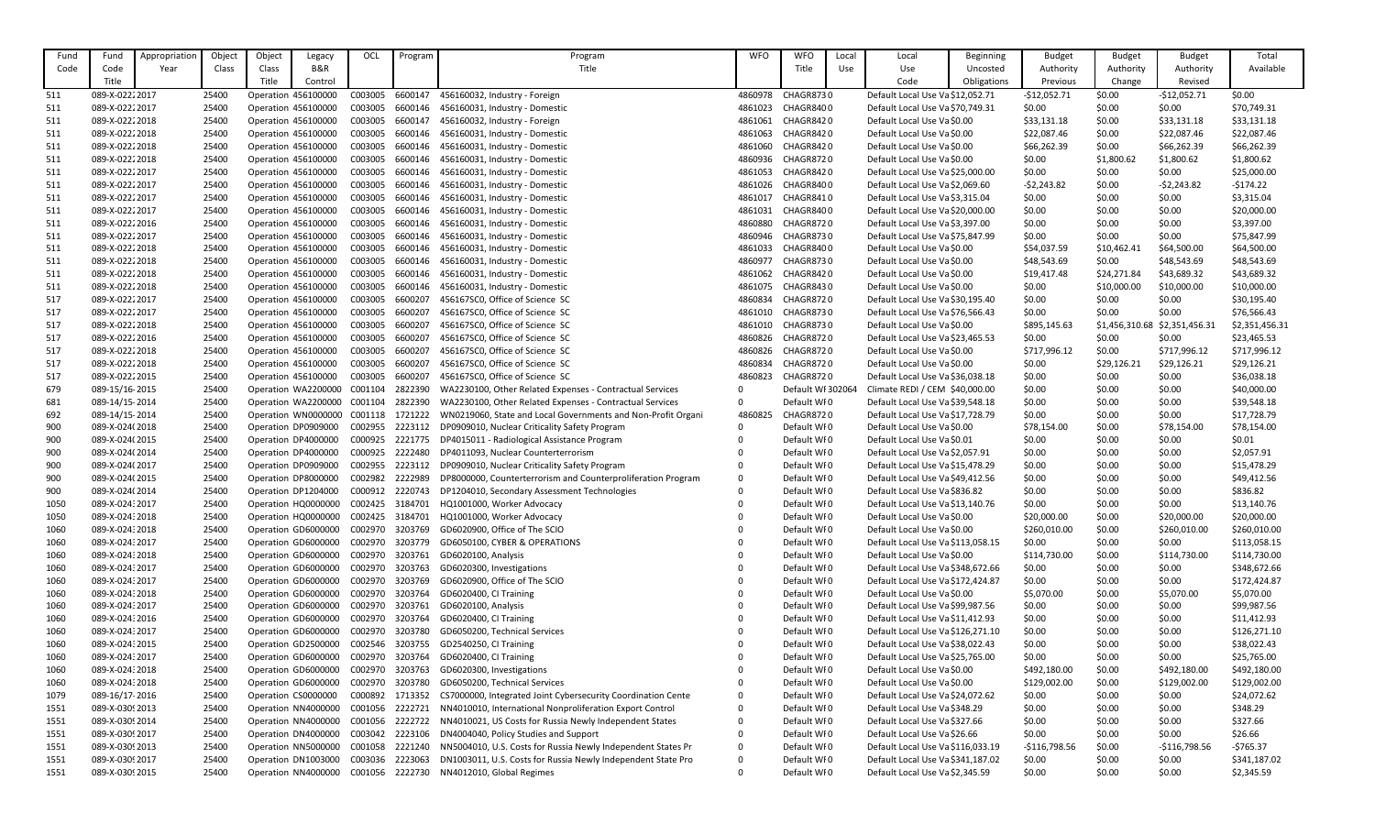| Fund         | Fund                              | Appropriation | Object         | Object | Legacy                                                     | OCL             | Program            | Program                                                                    | <b>WFO</b>   | <b>WFO</b>                 | Local | Local                                                             | <b>Beginning</b> | <b>Budget</b>         | <b>Budget</b>                 | <b>Budget</b>    | Total                      |
|--------------|-----------------------------------|---------------|----------------|--------|------------------------------------------------------------|-----------------|--------------------|----------------------------------------------------------------------------|--------------|----------------------------|-------|-------------------------------------------------------------------|------------------|-----------------------|-------------------------------|------------------|----------------------------|
| Code         | Code                              | Year          | Class          | Class  | B&R                                                        |                 |                    | Title                                                                      |              | Title                      | Use   | Use                                                               | Uncosted         | Authority             | Authority                     | Authority        | Available                  |
|              | Title                             |               |                | Title  | Control                                                    |                 |                    |                                                                            |              |                            |       | Code                                                              | Obligations      | Previous              | Change                        | Revised          |                            |
| 511          | 089-X-02222017                    |               | 25400          |        | Operation 456100000                                        | C003005         | 6600147            | 456160032, Industry - Foreign                                              | 4860978      | CHAGR8730                  |       | Default Local Use Va \$12,052.71                                  |                  | $-$12,052.71$         | \$0.00                        | $-$12,052.71$    | \$0.00                     |
| 511          | 089-X-02222017                    |               | 25400          |        | Operation 456100000                                        | C003005         | 6600146            | 456160031, Industry - Domestic                                             | 4861023      | CHAGR8400                  |       | Default Local Use Va \$70,749.31                                  |                  | \$0.00                | \$0.00                        | \$0.00           | \$70,749.31                |
| 511          | 089-X-02222018                    |               | 25400          |        | Operation 456100000                                        | C003005         | 6600147            | 456160032, Industry - Foreign                                              | 4861061      | CHAGR8420                  |       | Default Local Use Va \$0.00                                       |                  | \$33,131.18           | \$0.00                        | \$33,131.18      | \$33,131.18                |
| 511          | 089-X-02222018                    |               | 25400          |        | Operation 456100000                                        | C003005         | 6600146            | 456160031, Industry - Domestic                                             | 4861063      | CHAGR8420                  |       | Default Local Use Va \$0.00                                       |                  | \$22,087.46           | \$0.00                        | \$22,087.46      | \$22,087.46                |
| 511          | 089-X-02222018                    |               | 25400          |        | Operation 456100000                                        | C003005         | 6600146            | 456160031, Industry - Domestic                                             | 4861060      | CHAGR8420                  |       | Default Local Use Va \$0.00                                       |                  | \$66,262.39           | \$0.00                        | \$66,262.39      | \$66,262.39                |
| 511          | 089-X-02222018                    |               | 25400          |        | Operation 456100000                                        | C003005         | 6600146            | 456160031, Industry - Domestic                                             | 4860936      | CHAGR8720                  |       | Default Local Use Va \$0.00                                       |                  | \$0.00                | \$1,800.62                    | \$1,800.62       | \$1,800.62                 |
| 511          | 089-X-02222017                    |               | 25400          |        | Operation 456100000                                        | C003005         | 6600146            | 456160031, Industry - Domestic                                             | 4861053      | CHAGR8420                  |       | Default Local Use Va \$25,000.00                                  |                  | \$0.00                | \$0.00                        | \$0.00           | \$25,000.00                |
| 511          | 089-X-02222017                    |               | 25400          |        | Operation 456100000                                        | C003005         | 6600146            | 456160031, Industry - Domestic                                             | 4861026      | CHAGR8400                  |       | Default Local Use Va \$2,069.60                                   |                  | $-52,243.82$          | \$0.00                        | $-52,243.82$     | $-5174.22$                 |
| 511          | 089-X-02222017                    |               | 25400          |        | Operation 456100000                                        | C003005         | 6600146            | 456160031, Industry - Domestic                                             | 4861017      | CHAGR8410                  |       | Default Local Use Va \$3,315.04                                   |                  | \$0.00                | \$0.00                        | \$0.00           | \$3,315.04                 |
| 511          | 089-X-02222017                    |               | 25400          |        | Operation 456100000                                        | C003005         | 6600146            | 456160031, Industry - Domestic                                             | 4861031      | CHAGR8400                  |       | Default Local Use Va \$20,000.00                                  |                  | \$0.00                | \$0.00                        | \$0.00           | \$20,000.00                |
| 511          | 089-X-02222016                    |               | 25400          |        | Operation 456100000                                        | C003005         | 6600146            | 456160031, Industry - Domestic                                             | 4860880      | CHAGR8720                  |       | Default Local Use Va \$3,397.00                                   |                  | \$0.00                | \$0.00                        | \$0.00           | \$3,397.00                 |
| 511          | 089-X-02222017                    |               | 25400          |        | Operation 456100000                                        | C003005         | 6600146            | 456160031, Industry - Domestic                                             | 4860946      | CHAGR8730                  |       | Default Local Use Va \$75,847.99                                  |                  | \$0.00                | \$0.00                        | \$0.00           | \$75,847.99                |
| 511          | 089-X-02222018                    |               | 25400          |        | Operation 456100000                                        | C003005         | 6600146            | 456160031, Industry - Domestic                                             | 4861033      | CHAGR8400                  |       | Default Local Use Va \$0.00                                       |                  | \$54,037.59           | \$10,462.41                   | \$64,500.00      | \$64,500.00                |
| 511          | 089-X-02222018                    |               | 25400          |        | Operation 456100000                                        | C003005         | 6600146            | 456160031, Industry - Domestic                                             | 4860977      | CHAGR8730                  |       | Default Local Use Va \$0.00                                       |                  | \$48,543.69           | \$0.00                        | \$48,543.69      | \$48,543.69                |
| 511          | 089-X-02222018                    |               | 25400          |        | Operation 456100000                                        | C003005         | 6600146            | 456160031, Industry - Domestic                                             | 4861062      | CHAGR8420                  |       | Default Local Use Va \$0.00                                       |                  | \$19,417.48           | \$24,271.84                   | \$43,689.32      | \$43,689.32                |
| 511          | 089-X-02222018                    |               | 25400          |        | Operation 456100000                                        | C003005         | 6600146            | 456160031, Industry - Domestic                                             | 4861075      | CHAGR8430                  |       | Default Local Use Va \$0.00                                       |                  | \$0.00                | \$10,000.00                   | \$10,000.00      | \$10,000.00                |
| 517          | 089-X-02222017                    |               | 25400          |        | Operation 456100000                                        | C003005         | 6600207            | 456167SC0, Office of Science SC                                            | 4860834      | CHAGR8720                  |       | Default Local Use Va \$30,195.40                                  |                  | \$0.00                | \$0.00                        | \$0.00           | \$30,195.40                |
| 517          | 089-X-02222017                    |               | 25400          |        | Operation 456100000                                        | C003005         | 6600207            | 456167SC0, Office of Science SC                                            | 4861010      | CHAGR8730                  |       | Default Local Use Va \$76,566.43                                  |                  | \$0.00                | \$0.00                        | \$0.00           | \$76,566.43                |
| 517          | 089-X-02222018                    |               | 25400          |        | Operation 456100000                                        | C003005         | 6600207            | 456167SC0, Office of Science SC                                            | 4861010      | CHAGR8730                  |       | Default Local Use Va \$0.00                                       |                  | \$895,145.63          | \$1,456,310.68 \$2,351,456.31 |                  | \$2,351,456.31             |
| 517          | 089-X-02222016                    |               | 25400          |        | Operation 456100000                                        | C003005         | 6600207            | 456167SC0, Office of Science SC                                            | 4860826      | CHAGR8720                  |       | Default Local Use Va \$23,465.53                                  |                  | \$0.00                | \$0.00                        | \$0.00           | \$23,465.53                |
| 517          | 089-X-02222018                    |               | 25400          |        | Operation 456100000                                        | C003005         | 6600207            | 456167SC0, Office of Science SC                                            | 4860826      | CHAGR8720                  |       | Default Local Use Va \$0.00                                       |                  | \$717,996.12          | \$0.00                        | \$717,996.12     | \$717,996.12               |
| 517          | 089-X-02222018                    |               | 25400          |        | Operation 456100000                                        | C003005         | 6600207            | 456167SC0, Office of Science SC                                            | 4860834      | CHAGR8720                  |       | Default Local Use Va \$0.00                                       |                  | \$0.00                | \$29,126.21                   | \$29,126.21      | \$29,126.21                |
| 517          | 089-X-02222015                    |               | 25400          |        | Operation 456100000                                        | C003005         | 6600207            | 456167SC0, Office of Science SC                                            | 4860823      | CHAGR8720                  |       | Default Local Use Va \$36,038.18                                  |                  | \$0.00                | \$0.00                        | \$0.00           | \$36,038.18                |
| 679          | 089-15/16-2015                    |               | 25400          |        | Operation WA2200000                                        | C001104         | 2822390            | WA2230100, Other Related Expenses - Contractual Services                   | $\Omega$     | Default WF 302064          |       | Climate REDI / CEM \$40,000.00                                    |                  | \$0.00                | \$0.00                        | \$0.00           | \$40,000.00                |
| 681          | 089-14/15-2014                    |               | 25400          |        | Operation WA2200000                                        | C001104         | 2822390            | WA2230100, Other Related Expenses - Contractual Services                   | $\Omega$     | Default WI0                |       | Default Local Use Va \$39,548.18                                  |                  | \$0.00                | \$0.00                        | \$0.00           | \$39,548.18                |
| 692          | 089-14/15-2014                    |               | 25400          |        | Operation WN0000000 C001118                                |                 | 1721222            | WN0219060, State and Local Governments and Non-Profit Organi               | 4860825      | CHAGR8720                  |       | Default Local Use Va \$17,728.79                                  |                  | \$0.00                | \$0.00                        | \$0.00           | \$17,728.79                |
| 900          | 089-X-024(2018                    |               | 25400          |        | Operation DP0909000                                        | C002955         | 2223112            | DP0909010, Nuclear Criticality Safety Program                              | $\Omega$     | Default WI0                |       | Default Local Use Va \$0.00                                       |                  | \$78,154.00           | \$0.00                        | \$78,154.00      | \$78,154.00                |
| 900          | 089-X-024(2015                    |               | 25400          |        | Operation DP4000000                                        | C000925         | 2221775            | DP4015011 - Radiological Assistance Program                                |              | Default WF0                |       | Default Local Use Va \$0.01                                       |                  | \$0.00                | \$0.00                        | \$0.00           | \$0.01                     |
| 900          | 089-X-024(2014                    |               | 25400          |        | Operation DP4000000                                        | C000925         | 2222480            | DP4011093, Nuclear Counterterrorism                                        |              | Default WFO                |       | Default Local Use Va \$2,057.91                                   |                  | \$0.00                | \$0.00                        | \$0.00           | \$2,057.91                 |
| 900          | 089-X-024(2017                    |               | 25400          |        | Operation DP0909000                                        | C002955         | 2223112            | DP0909010, Nuclear Criticality Safety Program                              |              | Default WFO                |       | Default Local Use Va \$15,478.29                                  |                  | \$0.00                | \$0.00                        | \$0.00           | \$15,478.29                |
| 900          | 089-X-024(2015                    |               | 25400          |        | Operation DP8000000                                        | C002982         | 2222989            | DP8000000, Counterterrorism and Counterproliferation Program               | $\Omega$     | Default WFO                |       | Default Local Use Va \$49,412.56                                  |                  | \$0.00                | \$0.00                        | \$0.00           | \$49,412.56                |
| 900          | 089-X-024(2014<br>089-X-024: 2017 |               | 25400          |        | Operation DP1204000                                        | C000912         | 2220743<br>3184701 | DP1204010, Secondary Assessment Technologies<br>HQ1001000, Worker Advocacy | $\mathbf{0}$ | Default WFO                |       | Default Local Use Va \$836.82<br>Default Local Use Va \$13,140.76 |                  | \$0.00                | \$0.00<br>\$0.00              | \$0.00<br>\$0.00 | \$836.82                   |
| 1050         | 089-X-024: 2018                   |               | 25400<br>25400 |        | Operation HQ0000000 C002425<br>Operation HQ0000000 C002425 |                 | 3184701            | HQ1001000, Worker Advocacy                                                 |              | Default WFO<br>Default WI0 |       | Default Local Use Va \$0.00                                       |                  | \$0.00<br>\$20,000.00 | \$0.00                        | \$20,000.00      | \$13,140.76<br>\$20,000.00 |
| 1050<br>1060 | 089-X-024: 2018                   |               | 25400          |        | Operation GD6000000                                        | C002970         | 3203769            | GD6020900, Office of The SCIO                                              |              | Default WI0                |       | Default Local Use Va \$0.00                                       |                  | \$260,010.00          | \$0.00                        | \$260,010.00     | \$260,010.00               |
| 1060         | 089-X-024: 2017                   |               | 25400          |        | Operation GD6000000                                        | C002970         | 3203779            | GD6050100, CYBER & OPERATIONS                                              |              | Default WFO                |       | Default Local Use Va \$113,058.15                                 |                  | \$0.00                | \$0.00                        | \$0.00           | \$113,058.15               |
| 1060         | 089-X-024: 2018                   |               | 25400          |        | Operation GD6000000                                        | C002970         | 3203761            | GD6020100, Analysis                                                        |              | Default WFO                |       | Default Local Use Va \$0.00                                       |                  | \$114,730.00          | \$0.00                        | \$114,730.00     | \$114,730.00               |
| 1060         | 089-X-024: 2017                   |               | 25400          |        | Operation GD6000000                                        | C002970         | 3203763            | GD6020300, Investigations                                                  |              | Default WFO                |       | Default Local Use Va \$348,672.66                                 |                  | \$0.00                | \$0.00                        | \$0.00           | \$348,672.66               |
| 1060         | 089-X-024: 2017                   |               | 25400          |        | Operation GD6000000                                        | C002970         | 3203769            | GD6020900, Office of The SCIO                                              |              | Default WFO                |       | Default Local Use Va \$172,424.87                                 |                  | \$0.00                | \$0.00                        | \$0.00           | \$172,424.87               |
| 1060         | 089-X-024: 2018                   |               | 25400          |        | Operation GD6000000                                        | C002970         | 3203764            | GD6020400, CI Training                                                     |              | Default WFO                |       | Default Local Use Va \$0.00                                       |                  | \$5,070.00            | \$0.00                        | \$5,070.00       | \$5,070.00                 |
| 1060         | 089-X-024: 2017                   |               | 25400          |        | Operation GD6000000                                        | C002970         | 3203761            | GD6020100, Analysis                                                        |              | Default WF0                |       | Default Local Use Va \$99,987.56                                  |                  | \$0.00                | \$0.00                        | \$0.00           | \$99,987.56                |
| 1060         | 089-X-024: 2016                   |               | 25400          |        | Operation GD6000000                                        | C002970         | 3203764            | GD6020400, CI Training                                                     |              | Default WI0                |       | Default Local Use Va \$11,412.93                                  |                  | \$0.00                | \$0.00                        | \$0.00           | \$11,412.93                |
| 1060         | 089-X-024: 2017                   |               | 25400          |        | Operation GD6000000                                        | C002970         | 3203780            | GD6050200, Technical Services                                              |              | Default WFO                |       | Default Local Use Va \$126,271.10                                 |                  | \$0.00                | \$0.00                        | \$0.00           | \$126,271.10               |
| 1060         | 089-X-024: 2015                   |               | 25400          |        | Operation GD2500000                                        | C002546 3203755 |                    | GD2540250, CI Training                                                     |              | Default WI0                |       | Default Local Use Va \$38,022.43                                  |                  | \$0.00                | \$0.00                        | \$0.00           | \$38,022.43                |
| 1060         | 089-X-024: 2017                   |               | 25400          |        | Operation GD6000000                                        | C002970         | 3203764            | GD6020400, CI Training                                                     |              | Default WFO                |       | Default Local Use Va \$25,765.00                                  |                  | \$0.00                | \$0.00                        | \$0.00           | \$25,765.00                |
| 1060         | 089-X-024: 2018                   |               | 25400          |        | Operation GD6000000                                        | C002970         | 3203763            | GD6020300, Investigations                                                  |              | Default WF0                |       | Default Local Use Va \$0.00                                       |                  | \$492,180.00          | \$0.00                        | \$492,180.00     | \$492,180.00               |
| 1060         | 089-X-024: 2018                   |               | 25400          |        | Operation GD6000000                                        | C002970         | 3203780            | GD6050200, Technical Services                                              |              | Default WI0                |       | Default Local Use Va \$0.00                                       |                  | \$129,002.00          | \$0.00                        | \$129,002.00     | \$129,002.00               |
| 1079         | 089-16/17-2016                    |               | 25400          |        | Operation CS0000000                                        | C000892         | 1713352            | CS7000000, Integrated Joint Cybersecurity Coordination Cente               | $\Omega$     | Default WFO                |       | Default Local Use Va \$24,072.62                                  |                  | \$0.00                | \$0.00                        | \$0.00           | \$24,072.62                |
| 1551         | 089-X-0309 2013                   |               | 25400          |        | Operation NN4000000 C001056                                |                 | 2222721            | NN4010010, International Nonproliferation Export Control                   | $\Omega$     | Default WI0                |       | Default Local Use Va \$348.29                                     |                  | \$0.00                | \$0.00                        | \$0.00           | \$348.29                   |
| 1551         | 089-X-0309 2014                   |               | 25400          |        | Operation NN4000000 C001056                                |                 | 2222722            | NN4010021, US Costs for Russia Newly Independent States                    | 0            | Default WI0                |       | Default Local Use Va \$327.66                                     |                  | \$0.00                | \$0.00                        | \$0.00           | \$327.66                   |
| 1551         | 089-X-0309 2017                   |               | 25400          |        | Operation DN4000000                                        | C003042         | 2223106            | DN4004040, Policy Studies and Support                                      | $\Omega$     | Default WF0                |       | Default Local Use Va \$26.66                                      |                  | \$0.00                | \$0.00                        | \$0.00           | \$26.66                    |
| 1551         | 089-X-0309 2013                   |               | 25400          |        | Operation NN5000000                                        | C001058         | 2221240            | NN5004010, U.S. Costs for Russia Newly Independent States Pr               | $\mathbf 0$  | Default WF0                |       | Default Local Use Va \$116,033.19                                 |                  | $-$116,798.56$        | \$0.00                        | $-$116,798.56$   | $-5765.37$                 |
| 1551         | 089-X-0309 2017                   |               | 25400          |        | Operation DN1003000                                        | C003036         | 2223063            | DN1003011, U.S. Costs for Russia Newly Independent State Pro               | 0            | Default WFO                |       | Default Local Use Va \$341,187.02                                 |                  | \$0.00                | \$0.00                        | \$0.00           | \$341,187.02               |
| 1551         | 089-X-0309 2015                   |               | 25400          |        | Operation NN4000000 C001056                                |                 | 2222730            | NN4012010, Global Regimes                                                  | $\mathbf{0}$ | Default WFO                |       | Default Local Use Va \$2,345.59                                   |                  | \$0.00                | \$0.00                        | \$0.00           | \$2,345.59                 |
|              |                                   |               |                |        |                                                            |                 |                    |                                                                            |              |                            |       |                                                                   |                  |                       |                               |                  |                            |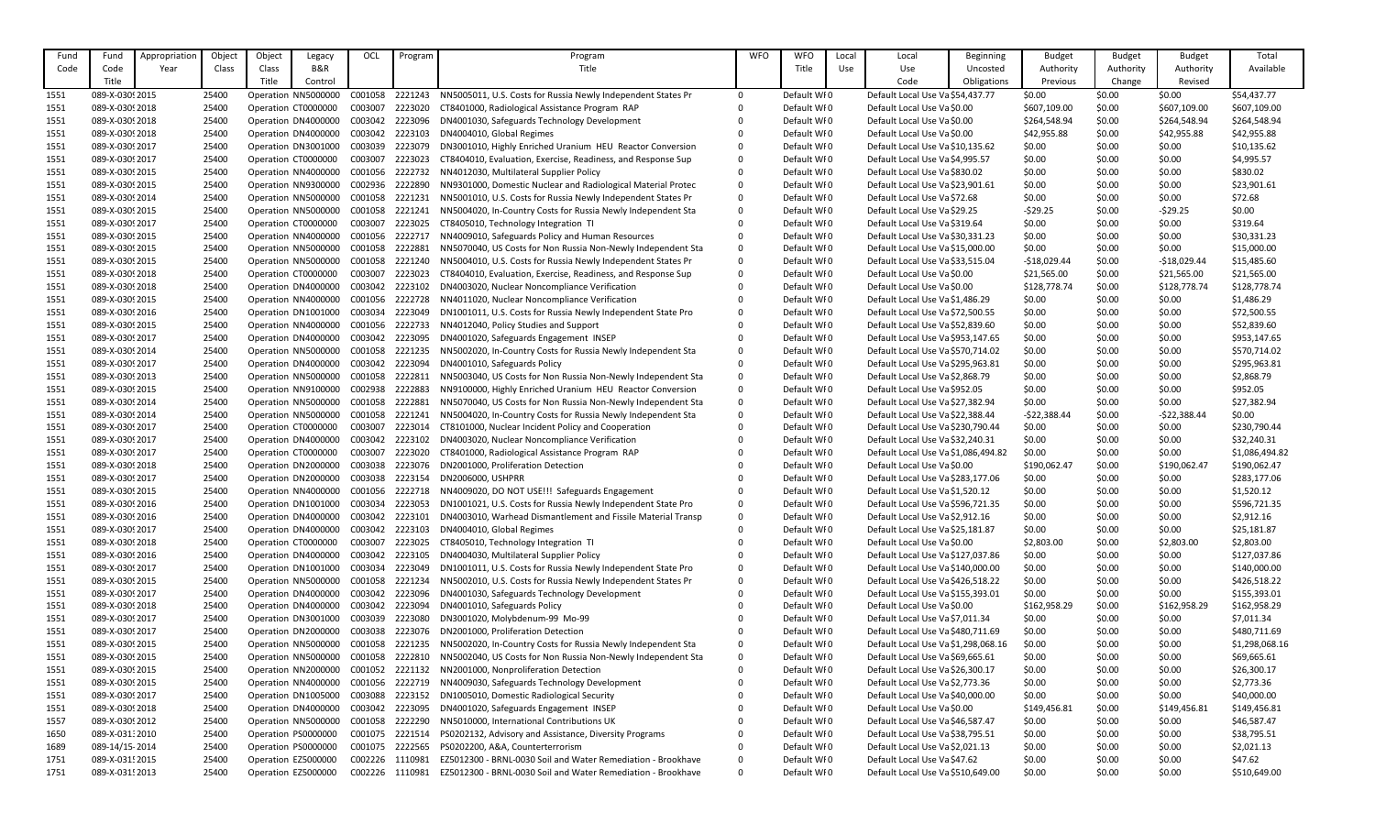| Fund | Fund            | Appropriatior | Object | Object | Legacy                      | OCL     | Program | Program                                                      | <b>WFO</b>   | <b>WFO</b>  | Local | Local                               | <b>Beginning</b> | <b>Budget</b> | <b>Budget</b> | <b>Budget</b> | Total          |
|------|-----------------|---------------|--------|--------|-----------------------------|---------|---------|--------------------------------------------------------------|--------------|-------------|-------|-------------------------------------|------------------|---------------|---------------|---------------|----------------|
| Code | Code            | Year          | Class  | Class  | <b>B&amp;R</b>              |         |         | Title                                                        |              | Title       | Use   | <b>Use</b>                          | Uncosted         | Authority     | Authority     | Authority     | Available      |
|      | Title           |               |        | Title  | Control                     |         |         |                                                              |              |             |       | Code                                | Obligations      | Previous      | Change        | Revised       |                |
| 1551 | 089-X-03092015  |               | 25400  |        | Operation NN5000000         | C001058 | 2221243 | NN5005011, U.S. Costs for Russia Newly Independent States Pr | $\mathbf{0}$ | Default WF0 |       | Default Local Use Va \$54,437.77    |                  | \$0.00        | \$0.00        | \$0.00        | \$54,437.77    |
| 1551 | 089-X-0309 2018 |               | 25400  |        | Operation CT0000000         | C003007 | 2223020 | CT8401000, Radiological Assistance Program RAP               | $\Omega$     | Default WF0 |       | Default Local Use Va \$0.00         |                  | \$607,109.00  | \$0.00        | \$607,109.00  | \$607,109.00   |
| 1551 | 089-X-03092018  |               | 25400  |        | Operation DN4000000         | C003042 | 2223096 | DN4001030, Safeguards Technology Development                 |              | Default WFO |       | Default Local Use Va \$0.00         |                  | \$264,548.94  | \$0.00        | \$264,548.94  | \$264,548.94   |
| 1551 | 089-X-0309 2018 |               | 25400  |        | Operation DN4000000         | C003042 | 2223103 | DN4004010, Global Regimes                                    |              | Default WF0 |       | Default Local Use Va \$0.00         |                  | \$42,955.88   | \$0.00        | \$42,955.88   | \$42,955.88    |
| 1551 | 089-X-0309 2017 |               | 25400  |        | Operation DN3001000         | C003039 | 2223079 | DN3001010, Highly Enriched Uranium HEU Reactor Conversion    |              | Default WF0 |       | Default Local Use Va \$10,135.62    |                  | \$0.00        | \$0.00        | \$0.00        | \$10,135.62    |
| 1551 | 089-X-0309 2017 |               | 25400  |        | Operation CT0000000         | C003007 | 2223023 | CT8404010, Evaluation, Exercise, Readiness, and Response Sup | $\Omega$     | Default WFO |       | Default Local Use Va \$4,995.57     |                  | \$0.00        | \$0.00        | \$0.00        | \$4,995.57     |
| 1551 | 089-X-0309 2015 |               | 25400  |        | Operation NN4000000         | C001056 | 2222732 | NN4012030, Multilateral Supplier Policy                      |              | Default WF0 |       | Default Local Use Va \$830.02       |                  | \$0.00        | \$0.00        | \$0.00        | \$830.02       |
| 1551 | 089-X-0309 2015 |               | 25400  |        | Operation NN9300000         | C002936 | 2222890 | NN9301000, Domestic Nuclear and Radiological Material Protec | $\Omega$     | Default WFO |       | Default Local Use Va \$23,901.61    |                  | \$0.00        | \$0.00        | \$0.00        | \$23,901.61    |
| 1551 | 089-X-0309 2014 |               | 25400  |        | Operation NN5000000         | C001058 | 2221231 | NN5001010, U.S. Costs for Russia Newly Independent States Pr | $\Omega$     | Default WF0 |       | Default Local Use Va \$72.68        |                  | \$0.00        | \$0.00        | \$0.00        | \$72.68        |
| 1551 | 089-X-0309 2015 |               | 25400  |        | Operation NN5000000 C001058 |         | 2221241 | NN5004020, In-Country Costs for Russia Newly Independent Sta | $\Omega$     | Default WF0 |       | Default Local Use Va \$29.25        |                  | $-529.25$     | \$0.00        | $-529.25$     | \$0.00         |
| 1551 | 089-X-0309 2017 |               | 25400  |        | Operation CT0000000         | C003007 | 2223025 | CT8405010, Technology Integration TI                         | $\Omega$     | Default WF0 |       | Default Local Use Va \$319.64       |                  | \$0.00        | \$0.00        | \$0.00        | \$319.64       |
| 1551 | 089-X-0309 2015 |               | 25400  |        | Operation NN4000000         | C001056 | 2222717 | NN4009010, Safeguards Policy and Human Resources             | $\Omega$     | Default WF0 |       | Default Local Use Va \$30,331.23    |                  | \$0.00        | \$0.00        | \$0.00        | \$30,331.23    |
| 1551 | 089-X-03092015  |               | 25400  |        | Operation NN5000000         | C001058 | 2222881 | NN5070040, US Costs for Non Russia Non-Newly Independent Sta | $\Omega$     | Default WFO |       | Default Local Use Va \$15,000.00    |                  | \$0.00        | \$0.00        | \$0.00        | \$15,000.00    |
| 1551 | 089-X-03092015  |               | 25400  |        | Operation NN5000000         | C001058 | 2221240 | NN5004010, U.S. Costs for Russia Newly Independent States Pr | $\Omega$     | Default WF0 |       | Default Local Use Va \$33,515.04    |                  | $-$18,029.44$ | \$0.00        | $-$18,029.44$ | \$15,485.60    |
| 1551 | 089-X-0309 2018 |               | 25400  |        | Operation CT0000000         | C003007 | 2223023 | CT8404010, Evaluation, Exercise, Readiness, and Response Sup | $\Omega$     | Default WF0 |       | Default Local Use Va \$0.00         |                  | \$21,565.00   | \$0.00        | \$21,565.00   | \$21,565.00    |
| 1551 | 089-X-0309 2018 |               | 25400  |        | Operation DN4000000         | C003042 | 2223102 | DN4003020, Nuclear Noncompliance Verification                | $\Omega$     | Default WFO |       | Default Local Use Va \$0.00         |                  | \$128,778.74  | \$0.00        | \$128,778.74  | \$128,778.74   |
| 1551 | 089-X-0309 2015 |               | 25400  |        | Operation NN4000000         | C001056 | 2222728 | NN4011020, Nuclear Noncompliance Verification                | $\Omega$     | Default WF0 |       | Default Local Use Va \$1,486.29     |                  | \$0.00        | \$0.00        | \$0.00        | \$1,486.29     |
| 1551 | 089-X-03092016  |               | 25400  |        | Operation DN1001000         | C003034 | 2223049 | DN1001011, U.S. Costs for Russia Newly Independent State Pro | $\Omega$     | Default WFO |       | Default Local Use Va \$72,500.55    |                  | \$0.00        | \$0.00        | \$0.00        | \$72,500.55    |
| 1551 | 089-X-03092015  |               | 25400  |        | Operation NN4000000         | C001056 | 2222733 | NN4012040, Policy Studies and Support                        |              | Default WF0 |       | Default Local Use Va \$52,839.60    |                  | \$0.00        | \$0.00        | \$0.00        | \$52,839.60    |
| 1551 | 089-X-0309 2017 |               | 25400  |        | Operation DN4000000         | C003042 | 2223095 | DN4001020, Safeguards Engagement INSEP                       |              | Default WF0 |       | Default Local Use Va \$953,147.65   |                  | \$0.00        | \$0.00        | \$0.00        | \$953,147.65   |
| 1551 | 089-X-0309 2014 |               | 25400  |        | Operation NN5000000 C001058 |         | 2221235 | NN5002020, In-Country Costs for Russia Newly Independent Sta | $\Omega$     | Default WF0 |       | Default Local Use Va \$570,714.02   |                  | \$0.00        | \$0.00        | \$0.00        | \$570,714.02   |
| 1551 | 089-X-0309 2017 |               | 25400  |        | Operation DN4000000         | C003042 | 2223094 | DN4001010, Safeguards Policy                                 | 0            | Default WF0 |       | Default Local Use Va \$295,963.81   |                  | \$0.00        | \$0.00        | \$0.00        | \$295,963.81   |
| 1551 | 089-X-03092013  |               | 25400  |        | Operation NN5000000         | C001058 | 2222811 | NN5003040, US Costs for Non Russia Non-Newly Independent Sta | $\mathbf 0$  | Default WFO |       | Default Local Use Va \$2,868.79     |                  | \$0.00        | \$0.00        | \$0.00        | \$2,868.79     |
| 1551 | 089-X-03092015  |               | 25400  |        | Operation NN9100000         | C002938 | 2222883 | NN9100000, Highly Enriched Uranium HEU Reactor Conversion    | $\mathbf 0$  | Default WF0 |       | Default Local Use Va \$952.05       |                  | \$0.00        | \$0.00        | \$0.00        | \$952.05       |
| 1551 | 089-X-0309 2014 |               | 25400  |        | Operation NN5000000 C001058 |         | 2222881 | NN5070040, US Costs for Non Russia Non-Newly Independent Sta | $\mathbf 0$  | Default WF0 |       | Default Local Use Va \$27,382.94    |                  | \$0.00        | \$0.00        | \$0.00        | \$27,382.94    |
| 1551 | 089-X-0309 2014 |               | 25400  |        | Operation NN5000000 C001058 |         | 2221241 | NN5004020, In-Country Costs for Russia Newly Independent Sta | $\Omega$     | Default WF0 |       | Default Local Use Va \$22,388.44    |                  | $-522,388.44$ | \$0.00        | $-522,388.44$ | \$0.00         |
| 1551 | 089-X-0309 2017 |               | 25400  |        | Operation CT0000000         | C003007 | 2223014 | CT8101000, Nuclear Incident Policy and Cooperation           |              | Default WF0 |       | Default Local Use Va \$230,790.44   |                  | \$0.00        | \$0.00        | \$0.00        | \$230,790.44   |
| 1551 | 089-X-0309 2017 |               | 25400  |        | Operation DN4000000         | C003042 | 2223102 | DN4003020, Nuclear Noncompliance Verification                |              | Default WFO |       | Default Local Use Va \$32,240.31    |                  | \$0.00        | \$0.00        | \$0.00        | \$32,240.31    |
| 1551 | 089-X-0309 2017 |               | 25400  |        | Operation CT0000000         | C003007 | 2223020 | CT8401000, Radiological Assistance Program RAP               |              | Default WF0 |       | Default Local Use Va \$1,086,494.82 |                  | \$0.00        | \$0.00        | \$0.00        | \$1,086,494.82 |
| 1551 | 089-X-0309 2018 |               | 25400  |        | Operation DN2000000         | C003038 | 2223076 | DN2001000, Proliferation Detection                           |              | Default WF0 |       | Default Local Use Va \$0.00         |                  | \$190,062.47  | \$0.00        | \$190,062.47  | \$190,062.47   |
| 1551 | 089-X-0309 2017 |               | 25400  |        | Operation DN2000000         | C003038 | 2223154 | DN2006000, USHPRR                                            |              | Default WI0 |       | Default Local Use Va \$283,177.06   |                  | \$0.00        | \$0.00        | \$0.00        | \$283,177.06   |
| 1551 | 089-X-0309 2015 |               | 25400  |        | Operation NN4000000         | C001056 | 2222718 | NN4009020, DO NOT USE!!! Safeguards Engagement               |              | Default WF0 |       | Default Local Use Va \$1,520.12     |                  | \$0.00        | \$0.00        | \$0.00        | \$1,520.12     |
| 1551 | 089-X-03092016  |               | 25400  |        | Operation DN1001000         | C003034 | 2223053 | DN1001021, U.S. Costs for Russia Newly Independent State Pro | 0            | Default WI0 |       | Default Local Use Va \$596,721.35   |                  | \$0.00        | \$0.00        | \$0.00        | \$596,721.35   |
| 1551 | 089-X-0309 2016 |               | 25400  |        | Operation DN4000000         | C003042 | 2223101 | DN4003010, Warhead Dismantlement and Fissile Material Transp | $\mathbf 0$  | Default WF0 |       | Default Local Use Va \$2,912.16     |                  | \$0.00        | \$0.00        | \$0.00        | \$2,912.16     |
| 1551 | 089-X-0309 2017 |               | 25400  |        | Operation DN4000000         | C003042 | 2223103 | DN4004010, Global Regimes                                    |              | Default WF0 |       | Default Local Use Va \$25,181.87    |                  | \$0.00        | \$0.00        | \$0.00        | \$25,181.87    |
| 1551 | 089-X-0309 2018 |               | 25400  |        | Operation CT0000000         | C003007 | 2223025 | CT8405010, Technology Integration TI                         |              | Default WFO |       | Default Local Use Va \$0.00         |                  | \$2,803.00    | \$0.00        | \$2,803.00    | \$2,803.00     |
| 1551 | 089-X-0309 2016 |               | 25400  |        | Operation DN4000000         | C003042 | 2223105 | DN4004030, Multilateral Supplier Policy                      |              | Default WF0 |       | Default Local Use Va \$127,037.86   |                  | \$0.00        | \$0.00        | \$0.00        | \$127,037.86   |
| 1551 | 089-X-03092017  |               | 25400  |        | Operation DN1001000         | C003034 | 2223049 | DN1001011, U.S. Costs for Russia Newly Independent State Pro | $\Omega$     | Default WI0 |       | Default Local Use Va \$140,000.00   |                  | \$0.00        | \$0.00        | \$0.00        | \$140,000.00   |
| 1551 | 089-X-0309 2015 |               | 25400  |        | Operation NN5000000 C001058 |         | 2221234 | NN5002010, U.S. Costs for Russia Newly Independent States Pr | 0            | Default WFO |       | Default Local Use Va \$426,518.22   |                  | \$0.00        | \$0.00        | \$0.00        | \$426,518.22   |
| 1551 | 089-X-0309 2017 |               | 25400  |        | Operation DN4000000 C003042 |         | 2223096 | DN4001030, Safeguards Technology Development                 |              | Default WI0 |       | Default Local Use Va \$155,393.01   |                  | \$0.00        | \$0.00        | \$0.00        | \$155,393.01   |
| 1551 | 089-X-0309 2018 |               | 25400  |        | Operation DN4000000         | C003042 | 2223094 | DN4001010, Safeguards Policy                                 |              | Default WI0 |       | Default Local Use Va \$0.00         |                  | \$162,958.29  | \$0.00        | \$162,958.29  | \$162,958.29   |
| 1551 | 089-X-0309 2017 |               | 25400  |        | Operation DN3001000         | C003039 | 2223080 | DN3001020, Molybdenum-99 Mo-99                               |              | Default WF0 |       | Default Local Use Va \$7,011.34     |                  | \$0.00        | \$0.00        | \$0.00        | \$7,011.34     |
| 1551 | 089-X-03092017  |               | 25400  |        | Operation DN2000000         | C003038 | 2223076 | DN2001000, Proliferation Detection                           |              | Default WF0 |       | Default Local Use Va \$480,711.69   |                  | \$0.00        | \$0.00        | \$0.00        | \$480,711.69   |
| 1551 | 089-X-0309 2015 |               | 25400  |        | Operation NN5000000 C001058 |         | 2221235 | NN5002020, In-Country Costs for Russia Newly Independent Sta | 0            | Default WF0 |       | Default Local Use Va \$1,298,068.16 |                  | \$0.00        | \$0.00        | \$0.00        | \$1,298,068.16 |
| 1551 | 089-X-03092015  |               | 25400  |        | Operation NN5000000 C001058 |         | 2222810 | NN5002040, US Costs for Non Russia Non-Newly Independent Sta | $\mathbf 0$  | Default WI0 |       | Default Local Use Va \$69,665.61    |                  | \$0.00        | \$0.00        | \$0.00        | \$69,665.61    |
| 1551 | 089-X-0309 2015 |               | 25400  |        | Operation NN2000000 C001052 |         | 2221132 | NN2001000, Nonproliferation Detection                        | $\Omega$     | Default WI0 |       | Default Local Use Va \$26,300.17    |                  | \$0.00        | \$0.00        | \$0.00        | \$26,300.17    |
| 1551 | 089-X-0309 2015 |               | 25400  |        | Operation NN4000000         | C001056 | 2222719 | NN4009030, Safeguards Technology Development                 |              | Default WFO |       | Default Local Use Va \$2,773.36     |                  | \$0.00        | \$0.00        | \$0.00        | \$2,773.36     |
| 1551 | 089-X-03092017  |               | 25400  |        | Operation DN1005000         | C003088 | 2223152 | DN1005010, Domestic Radiological Security                    |              | Default WI0 |       | Default Local Use Va \$40,000.00    |                  | \$0.00        | \$0.00        | \$0.00        | \$40,000.00    |
| 1551 | 089-X-0309 2018 |               | 25400  |        | Operation DN4000000         | C003042 | 2223095 | DN4001020, Safeguards Engagement INSEP                       | $\Omega$     | Default WF0 |       | Default Local Use Va \$0.00         |                  | \$149,456.81  | \$0.00        | \$149,456.81  | \$149,456.81   |
| 1557 | 089-X-03092012  |               | 25400  |        | Operation NN5000000 C001058 |         | 2222290 | NN5010000, International Contributions UK                    |              | Default WF0 |       | Default Local Use Va \$46,587.47    |                  | \$0.00        | \$0.00        | \$0.00        | \$46,587.47    |
| 1650 | 089-X-031:2010  |               | 25400  |        | Operation PS0000000         | C001075 | 2221514 | PS0202132, Advisory and Assistance, Diversity Programs       | $\Omega$     | Default WF0 |       | Default Local Use Va \$38,795.51    |                  | \$0.00        | \$0.00        | \$0.00        | \$38,795.51    |
| 1689 | 089-14/15-2014  |               | 25400  |        | Operation PS0000000         | C001075 | 2222565 | PS0202200, A&A, Counterterrorism                             | $\Omega$     | Default WF0 |       | Default Local Use Va \$2,021.13     |                  | \$0.00        | \$0.00        | \$0.00        | \$2,021.13     |
| 1751 | 089-X-0315 2015 |               | 25400  |        | Operation EZ5000000         | C002226 | 1110981 | EZ5012300 - BRNL-0030 Soil and Water Remediation - Brookhave | $\Omega$     | Default WI0 |       | Default Local Use Va \$47.62        |                  | \$0.00        | \$0.00        | \$0.00        | \$47.62        |
|      | 089-X-031! 2013 |               | 25400  |        | Operation EZ5000000         | C002226 | 1110981 | EZ5012300 - BRNL-0030 Soil and Water Remediation - Brookhave | $\mathbf 0$  | Default WI0 |       | Default Local Use Va \$510,649.00   |                  | \$0.00        | \$0.00        |               |                |
| 1751 |                 |               |        |        |                             |         |         |                                                              |              |             |       |                                     |                  |               |               | \$0.00        | \$510,649.00   |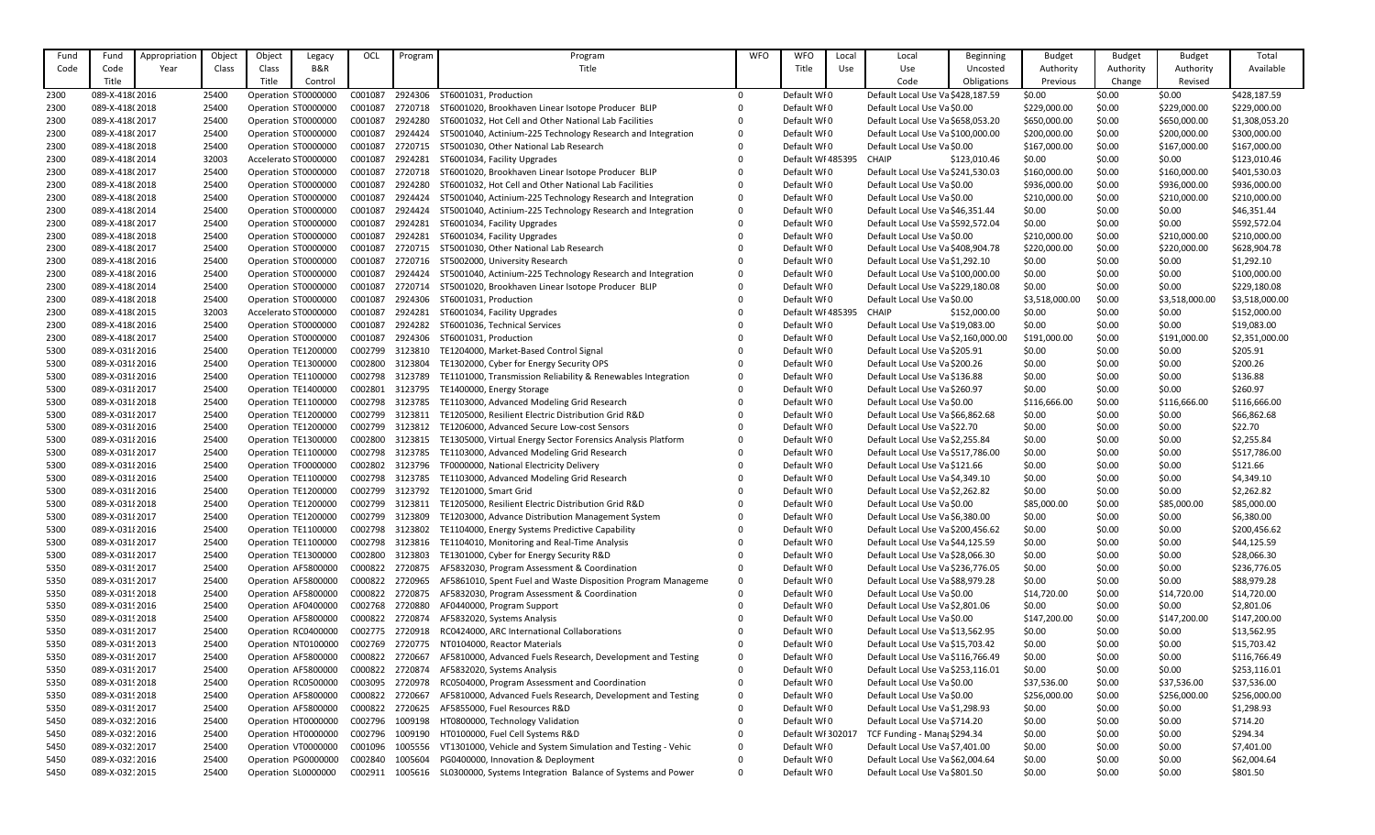| Fund | Fund            | Appropriation | Object | Object | Legacy               | OCL     | Program | Program                                                              | <b>WFO</b> | <b>WFO</b>        | Local | Local                               | <b>Beginning</b> | <b>Budget</b>  | <b>Budget</b> | <b>Budget</b>  | Total          |
|------|-----------------|---------------|--------|--------|----------------------|---------|---------|----------------------------------------------------------------------|------------|-------------------|-------|-------------------------------------|------------------|----------------|---------------|----------------|----------------|
| Code | Code            | Year          | Class  | Class  | B&R                  |         |         | Title                                                                |            | Title             | Use   | Use                                 | Uncosted         | Authority      | Authority     | Authority      | Available      |
|      | Title           |               |        | Title  | Control              |         |         |                                                                      |            |                   |       | Code                                | Obligations      | Previous       | Change        | Revised        |                |
|      |                 |               |        |        |                      |         |         | ST6001031, Production                                                | $\Omega$   | Default WI0       |       | Default Local Use Va \$428,187.59   |                  | \$0.00         |               |                |                |
| 2300 | 089-X-418(2016  |               | 25400  |        | Operation ST0000000  | C001087 | 2924306 |                                                                      |            |                   |       |                                     |                  |                | \$0.00        | \$0.00         | \$428,187.59   |
| 2300 | 089-X-418(2018  |               | 25400  |        | Operation ST0000000  | C001087 | 2720718 | ST6001020, Brookhaven Linear Isotope Producer BLIP                   |            | Default WI0       |       | Default Local Use Va \$0.00         |                  | \$229,000.00   | \$0.00        | \$229,000.00   | \$229,000.00   |
| 2300 | 089-X-418(2017  |               | 25400  |        | Operation ST0000000  | C001087 | 2924280 | ST6001032, Hot Cell and Other National Lab Facilities                |            | Default WI0       |       | Default Local Use Va \$658,053.20   |                  | \$650,000.00   | \$0.00        | \$650,000.00   | \$1,308,053.20 |
| 2300 | 089-X-418(2017  |               | 25400  |        | Operation ST0000000  | C001087 | 2924424 | ST5001040, Actinium-225 Technology Research and Integration          |            | Default WI0       |       | Default Local Use Va \$100,000.00   |                  | \$200,000.00   | \$0.00        | \$200,000.00   | \$300,000.00   |
| 2300 | 089-X-418(2018  |               | 25400  |        | Operation ST0000000  | C001087 | 2720715 | ST5001030, Other National Lab Research                               |            | Default WI0       |       | Default Local Use Va \$0.00         |                  | \$167,000.00   | \$0.00        | \$167,000.00   | \$167,000.00   |
| 2300 | 089-X-418(2014  |               | 32003  |        | Accelerato ST0000000 | C001087 | 2924281 | ST6001034, Facility Upgrades                                         |            | Default WI 485395 |       | <b>CHAIP</b>                        | \$123,010.46     | \$0.00         | \$0.00        | \$0.00         | \$123,010.46   |
| 2300 | 089-X-418(2017  |               | 25400  |        | Operation ST0000000  | C001087 | 2720718 | ST6001020, Brookhaven Linear Isotope Producer BLIP                   |            | Default WI0       |       | Default Local Use Va \$241,530.03   |                  | \$160,000.00   | \$0.00        | \$160,000.00   | \$401,530.03   |
| 2300 | 089-X-418(2018  |               | 25400  |        | Operation ST0000000  | C001087 | 2924280 | ST6001032, Hot Cell and Other National Lab Facilities                |            | Default WI0       |       | Default Local Use Va \$0.00         |                  | \$936,000.00   | \$0.00        | \$936,000.00   | \$936,000.00   |
| 2300 | 089-X-418(2018  |               | 25400  |        | Operation ST0000000  | C001087 | 2924424 | ST5001040, Actinium-225 Technology Research and Integration          |            | Default WI0       |       | Default Local Use Va \$0.00         |                  | \$210,000.00   | \$0.00        | \$210,000.00   | \$210,000.00   |
| 2300 | 089-X-418(2014  |               | 25400  |        | Operation ST0000000  | C001087 | 2924424 | ST5001040, Actinium-225 Technology Research and Integration          |            | Default WI0       |       | Default Local Use Va \$46,351.44    |                  | \$0.00         | \$0.00        | \$0.00         | \$46,351.44    |
| 2300 | 089-X-418(2017  |               | 25400  |        | Operation ST0000000  | C001087 | 2924281 | ST6001034, Facility Upgrades                                         |            | Default WI0       |       | Default Local Use Va \$592,572.04   |                  | \$0.00         | \$0.00        | \$0.00         | \$592,572.04   |
| 2300 | 089-X-418(2018  |               | 25400  |        | Operation ST0000000  | C001087 | 2924281 | ST6001034, Facility Upgrades                                         |            | Default WI0       |       | Default Local Use Va \$0.00         |                  | \$210,000.00   | \$0.00        | \$210,000.00   | \$210,000.00   |
| 2300 | 089-X-418(2017  |               | 25400  |        | Operation ST0000000  | C001087 | 2720715 | ST5001030, Other National Lab Research                               |            | Default WI0       |       | Default Local Use Va \$408,904.78   |                  | \$220,000.00   | \$0.00        | \$220,000.00   | \$628,904.78   |
| 2300 | 089-X-418(2016  |               | 25400  |        | Operation ST0000000  | C001087 | 2720716 | ST5002000, University Research                                       |            | Default WI0       |       | Default Local Use Va \$1,292.10     |                  | \$0.00         | \$0.00        | \$0.00         | \$1,292.10     |
| 2300 | 089-X-418(2016  |               | 25400  |        | Operation ST0000000  | C001087 | 2924424 | ST5001040, Actinium-225 Technology Research and Integration          |            | Default WI0       |       | Default Local Use Va \$100,000.00   |                  | \$0.00         | \$0.00        | \$0.00         | \$100,000.00   |
| 2300 | 089-X-418(2014  |               | 25400  |        | Operation ST0000000  | C001087 | 2720714 | ST5001020, Brookhaven Linear Isotope Producer BLIP                   |            | Default WI0       |       | Default Local Use Va \$229,180.08   |                  | \$0.00         | \$0.00        | \$0.00         | \$229,180.08   |
| 2300 | 089-X-418(2018  |               | 25400  |        | Operation ST0000000  | C001087 | 2924306 | ST6001031, Production                                                |            | Default WI0       |       | Default Local Use Va \$0.00         |                  | \$3,518,000.00 | \$0.00        | \$3,518,000.00 | \$3,518,000.00 |
| 2300 | 089-X-418(2015  |               | 32003  |        | Accelerato ST0000000 | C001087 | 2924281 | ST6001034, Facility Upgrades                                         |            | Default WI 485395 |       | <b>CHAIP</b>                        | \$152,000.00     | \$0.00         | \$0.00        | \$0.00         | \$152,000.00   |
| 2300 | 089-X-418(2016  |               | 25400  |        | Operation ST0000000  | C001087 | 2924282 | ST6001036, Technical Services                                        |            | Default WI0       |       | Default Local Use Va \$19,083.00    |                  | \$0.00         | \$0.00        | \$0.00         | \$19,083.00    |
| 2300 | 089-X-418(2017  |               | 25400  |        | Operation ST0000000  | C001087 | 2924306 | ST6001031, Production                                                |            | Default WI0       |       | Default Local Use Va \$2,160,000.00 |                  | \$191,000.00   | \$0.00        | \$191,000.00   | \$2,351,000.00 |
| 5300 | 089-X-031 2016  |               | 25400  |        | Operation TE1200000  | C002799 | 3123810 | TE1204000, Market-Based Control Signal                               |            | Default WI0       |       | Default Local Use Va \$205.91       |                  | \$0.00         | \$0.00        | \$0.00         | \$205.91       |
| 5300 | 089-X-031 2016  |               | 25400  |        | Operation TE1300000  | C002800 | 3123804 | TE1302000, Cyber for Energy Security OPS                             |            | Default WI0       |       | Default Local Use Va \$200.26       |                  | \$0.00         | \$0.00        | \$0.00         | \$200.26       |
| 5300 | 089-X-031 2016  |               | 25400  |        | Operation TE1100000  | C002798 | 3123789 | TE1101000, Transmission Reliability & Renewables Integration         |            | Default WI0       |       | Default Local Use Va \$136.88       |                  | \$0.00         | \$0.00        | \$0.00         | \$136.88       |
| 5300 | 089-X-031 2017  |               | 25400  |        | Operation TE1400000  | C002801 | 3123795 | TE1400000, Energy Storage                                            |            | Default WI0       |       | Default Local Use Va \$260.97       |                  | \$0.00         | \$0.00        | \$0.00         | \$260.97       |
| 5300 | 089-X-031 2018  |               | 25400  |        | Operation TE1100000  | C002798 | 3123785 | TE1103000, Advanced Modeling Grid Research                           |            | Default WI0       |       | Default Local Use Va \$0.00         |                  | \$116,666.00   | \$0.00        | \$116,666.00   | \$116,666.00   |
| 5300 | 089-X-031 2017  |               | 25400  |        | Operation TE1200000  | C002799 | 3123811 | TE1205000, Resilient Electric Distribution Grid R&D                  |            | Default WI0       |       | Default Local Use Va \$66,862.68    |                  | \$0.00         | \$0.00        | \$0.00         | \$66,862.68    |
| 5300 | 089-X-031 2016  |               | 25400  |        | Operation TE1200000  | C002799 | 3123812 | TE1206000, Advanced Secure Low-cost Sensors                          |            | Default WI0       |       | Default Local Use Va \$22.70        |                  | \$0.00         | \$0.00        | \$0.00         | \$22.70        |
| 5300 | 089-X-031 {2016 |               | 25400  |        | Operation TE1300000  | C002800 |         | 3123815 TE1305000, Virtual Energy Sector Forensics Analysis Platform |            | Default WF0       |       | Default Local Use Va \$2,255.84     |                  | \$0.00         | \$0.00        | \$0.00         | \$2,255.84     |
| 5300 | 089-X-031 2017  |               | 25400  |        | Operation TE1100000  | C002798 | 3123785 | TE1103000, Advanced Modeling Grid Research                           |            | Default WI0       |       | Default Local Use Va \$517,786.00   |                  | \$0.00         | \$0.00        | \$0.00         | \$517,786.00   |
| 5300 | 089-X-031 {2016 |               | 25400  |        | Operation TF0000000  | C002802 | 3123796 | TF0000000, National Electricity Delivery                             |            | Default WI0       |       | Default Local Use Va \$121.66       |                  | \$0.00         | \$0.00        | \$0.00         | \$121.66       |
| 5300 | 089-X-031 2016  |               | 25400  |        | Operation TE1100000  | C002798 | 3123785 | TE1103000, Advanced Modeling Grid Research                           |            | Default WI0       |       | Default Local Use Va \$4,349.10     |                  | \$0.00         | \$0.00        | \$0.00         | \$4,349.10     |
| 5300 | 089-X-031 2016  |               | 25400  |        | Operation TE1200000  | C002799 | 3123792 | TE1201000, Smart Grid                                                |            | Default WF0       |       | Default Local Use Va \$2,262.82     |                  | \$0.00         | \$0.00        | \$0.00         | \$2,262.82     |
| 5300 | 089-X-03182018  |               | 25400  |        | Operation TE1200000  | C002799 | 3123811 | TE1205000, Resilient Electric Distribution Grid R&D                  |            | Default WI0       |       | Default Local Use Va \$0.00         |                  | \$85,000.00    | \$0.00        | \$85,000.00    | \$85,000.00    |
| 5300 | 089-X-031 {2017 |               | 25400  |        | Operation TE1200000  | C002799 | 3123809 | TE1203000, Advance Distribution Management System                    |            | Default WI0       |       | Default Local Use Va \$6,380.00     |                  | \$0.00         | \$0.00        | \$0.00         | \$6,380.00     |
| 5300 | 089-X-031 2016  |               | 25400  |        | Operation TE1100000  | C002798 | 3123802 | TE1104000, Energy Systems Predictive Capability                      |            | Default WI0       |       | Default Local Use Va \$200,456.62   |                  | \$0.00         | \$0.00        | \$0.00         | \$200,456.62   |
| 5300 | 089-X-031 2017  |               | 25400  |        | Operation TE1100000  | C002798 | 3123816 | TE1104010, Monitoring and Real-Time Analysis                         |            | Default WI0       |       | Default Local Use Va \$44,125.59    |                  | \$0.00         | \$0.00        | \$0.00         | \$44,125.59    |
| 5300 | 089-X-031 2017  |               | 25400  |        | Operation TE1300000  | C002800 | 3123803 | TE1301000, Cyber for Energy Security R&D                             |            | Default WF0       |       | Default Local Use Va \$28,066.30    |                  | \$0.00         | \$0.00        | \$0.00         | \$28,066.30    |
| 5350 | 089-X-03192017  |               | 25400  |        | Operation AF5800000  | C000822 | 2720875 | AF5832030, Program Assessment & Coordination                         |            | Default WI0       |       | Default Local Use Va \$236,776.05   |                  | \$0.00         | \$0.00        | \$0.00         | \$236,776.05   |
| 5350 | 089-X-03192017  |               | 25400  |        | Operation AF5800000  | C000822 | 2720965 | AF5861010, Spent Fuel and Waste Disposition Program Manageme         |            | Default WI0       |       | Default Local Use Va \$88,979.28    |                  | \$0.00         | \$0.00        | \$0.00         | \$88,979.28    |
| 5350 | 089-X-0319 2018 |               | 25400  |        | Operation AF5800000  | C000822 | 2720875 | AF5832030, Program Assessment & Coordination                         |            | Default WI0       |       | Default Local Use Va \$0.00         |                  | \$14,720.00    | \$0.00        | \$14,720.00    | \$14,720.00    |
| 5350 | 089-X-0319 2016 |               | 25400  |        | Operation AF0400000  | C002768 | 2720880 | AF0440000, Program Support                                           |            | Default WI0       |       | Default Local Use Va \$2,801.06     |                  | \$0.00         | \$0.00        | \$0.00         | \$2,801.06     |
| 5350 | 089-X-0319 2018 |               | 25400  |        | Operation AF5800000  | C000822 | 2720874 | AF5832020, Systems Analysis                                          |            | Default WI0       |       | Default Local Use Va \$0.00         |                  | \$147,200.00   | \$0.00        | \$147,200.00   | \$147,200.00   |
| 5350 | 089-X-03192017  |               | 25400  |        | Operation RC0400000  | C002775 | 2720918 | RC0424000, ARC International Collaborations                          |            | Default WI0       |       | Default Local Use Va \$13,562.95    |                  | \$0.00         | \$0.00        | \$0.00         | \$13,562.95    |
| 5350 | 089-X-0319 2013 |               | 25400  |        | Operation NT0100000  | C002769 | 2720775 | NT0104000, Reactor Materials                                         |            | Default WI0       |       | Default Local Use Va \$15,703.42    |                  | \$0.00         | \$0.00        | \$0.00         | \$15,703.42    |
| 5350 | 089-X-03192017  |               | 25400  |        | Operation AF5800000  | C000822 | 2720667 | AF5810000, Advanced Fuels Research, Development and Testing          |            | Default WI0       |       | Default Local Use Va \$116,766.49   |                  | \$0.00         | \$0.00        | \$0.00         | \$116,766.49   |
| 5350 | 089-X-03192017  |               | 25400  |        | Operation AF5800000  | C000822 | 2720874 | AF5832020, Systems Analysis                                          |            | Default WI0       |       | Default Local Use Va \$253,116.01   |                  | \$0.00         | \$0.00        | \$0.00         | \$253,116.01   |
| 5350 | 089-X-03192018  |               | 25400  |        | Operation RC0500000  | C003095 | 2720978 | RC0504000, Program Assessment and Coordination                       |            | Default WI0       |       | Default Local Use Va \$0.00         |                  | \$37,536.00    | \$0.00        | \$37,536.00    | \$37,536.00    |
| 5350 | 089-X-0319 2018 |               | 25400  |        | Operation AF5800000  | C000822 | 2720667 | AF5810000, Advanced Fuels Research, Development and Testing          |            | Default WI0       |       | Default Local Use Va \$0.00         |                  | \$256,000.00   | \$0.00        | \$256,000.00   | \$256,000.00   |
| 5350 | 089-X-03192017  |               | 25400  |        | Operation AF5800000  | C000822 | 2720625 | AF5855000, Fuel Resources R&D                                        |            | Default WI0       |       | Default Local Use Va \$1,298.93     |                  | \$0.00         | \$0.00        | \$0.00         | \$1,298.93     |
| 5450 | 089-X-03212016  |               | 25400  |        | Operation HT0000000  | C002796 | 1009198 | HT0800000, Technology Validation                                     |            | Default WI0       |       | Default Local Use Va \$714.20       |                  | \$0.00         | \$0.00        | \$0.00         | \$714.20       |
| 5450 | 089-X-03212016  |               | 25400  |        | Operation HT0000000  | C002796 | 1009190 | HT0100000, Fuel Cell Systems R&D                                     |            | Default WI 302017 |       | TCF Funding - Mana \$294.34         |                  | \$0.00         | \$0.00        | \$0.00         | \$294.34       |
| 5450 | 089-X-03212017  |               | 25400  |        | Operation VT0000000  | C001096 | 1005556 | VT1301000, Vehicle and System Simulation and Testing - Vehic         |            | Default WF0       |       | Default Local Use Va \$7,401.00     |                  | \$0.00         | \$0.00        | \$0.00         | \$7,401.00     |
| 5450 | 089-X-03212016  |               | 25400  |        | Operation PG0000000  | C002840 | 1005604 | PG0400000, Innovation & Deployment                                   |            | Default WI0       |       | Default Local Use Va \$62,004.64    |                  | \$0.00         | \$0.00        | \$0.00         | \$62,004.64    |
| 5450 | 089-X-03212015  |               | 25400  |        | Operation SL0000000  | C002911 | 1005616 | SL0300000, Systems Integration Balance of Systems and Power          | $\Omega$   | Default WI0       |       | Default Local Use Va \$801.50       |                  | \$0.00         | \$0.00        | \$0.00         | \$801.50       |
|      |                 |               |        |        |                      |         |         |                                                                      |            |                   |       |                                     |                  |                |               |                |                |